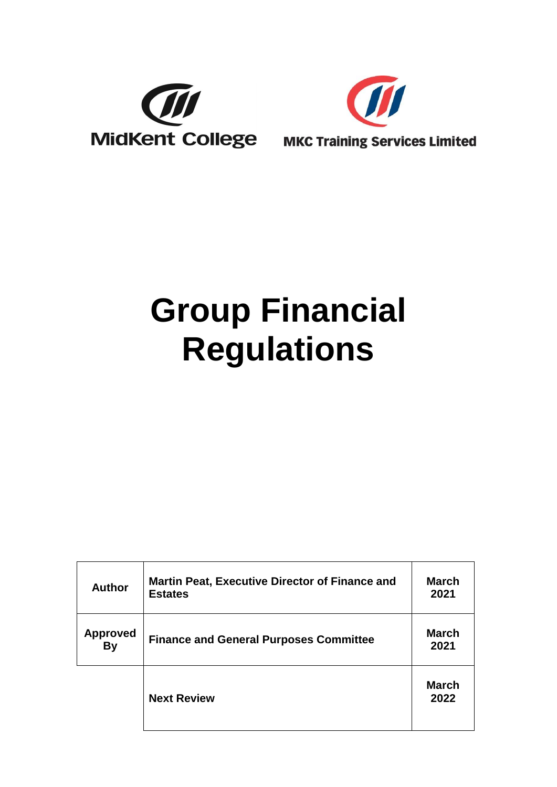



# **Group Financial Regulations**

| <b>Author</b>                | <b>Martin Peat, Executive Director of Finance and</b><br><b>Estates</b> | <b>March</b><br>2021 |
|------------------------------|-------------------------------------------------------------------------|----------------------|
| <b>Approved</b><br><b>By</b> | <b>Finance and General Purposes Committee</b>                           | <b>March</b><br>2021 |
|                              | <b>Next Review</b>                                                      | <b>March</b><br>2022 |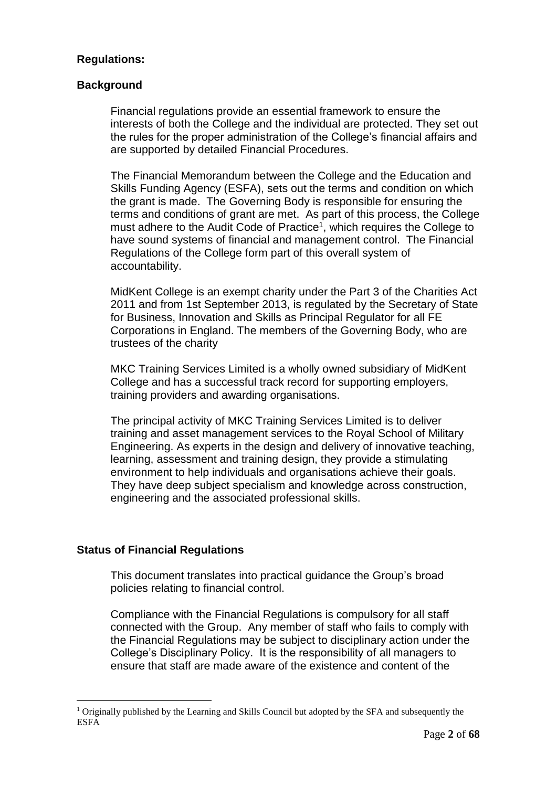# **Regulations:**

# **Background**

Financial regulations provide an essential framework to ensure the interests of both the College and the individual are protected. They set out the rules for the proper administration of the College's financial affairs and are supported by detailed Financial Procedures.

The Financial Memorandum between the College and the Education and Skills Funding Agency (ESFA), sets out the terms and condition on which the grant is made. The Governing Body is responsible for ensuring the terms and conditions of grant are met. As part of this process, the College must adhere to the Audit Code of Practice<sup>1</sup>, which requires the College to have sound systems of financial and management control. The Financial Regulations of the College form part of this overall system of accountability.

MidKent College is an exempt charity under the Part 3 of the Charities Act 2011 and from 1st September 2013, is regulated by the Secretary of State for Business, Innovation and Skills as Principal Regulator for all FE Corporations in England. The members of the Governing Body, who are trustees of the charity

MKC Training Services Limited is a wholly owned subsidiary of MidKent College and has a successful track record for supporting employers, training providers and awarding organisations.

The principal activity of MKC Training Services Limited is to deliver training and asset management services to the Royal School of Military Engineering. As experts in the design and delivery of innovative teaching, learning, assessment and training design, they provide a stimulating environment to help individuals and organisations achieve their goals. They have deep subject specialism and knowledge across construction, engineering and the associated professional skills.

# **Status of Financial Regulations**

This document translates into practical guidance the Group's broad policies relating to financial control.

Compliance with the Financial Regulations is compulsory for all staff connected with the Group. Any member of staff who fails to comply with the Financial Regulations may be subject to disciplinary action under the College's Disciplinary Policy. It is the responsibility of all managers to ensure that staff are made aware of the existence and content of the

 $<sup>1</sup>$  Originally published by the Learning and Skills Council but adopted by the SFA and subsequently the</sup> ESFA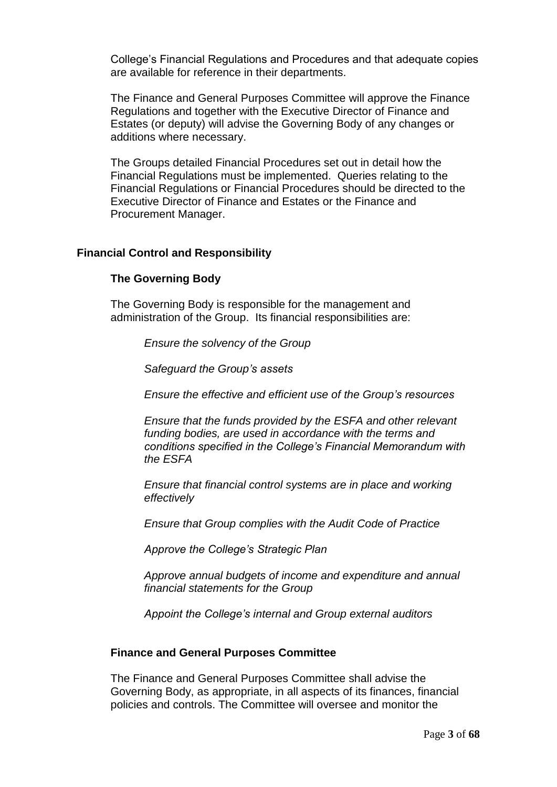College's Financial Regulations and Procedures and that adequate copies are available for reference in their departments.

The Finance and General Purposes Committee will approve the Finance Regulations and together with the Executive Director of Finance and Estates (or deputy) will advise the Governing Body of any changes or additions where necessary.

The Groups detailed Financial Procedures set out in detail how the Financial Regulations must be implemented. Queries relating to the Financial Regulations or Financial Procedures should be directed to the Executive Director of Finance and Estates or the Finance and Procurement Manager.

### **Financial Control and Responsibility**

### **The Governing Body**

The Governing Body is responsible for the management and administration of the Group. Its financial responsibilities are:

*Ensure the solvency of the Group*

*Safeguard the Group's assets*

*Ensure the effective and efficient use of the Group's resources*

*Ensure that the funds provided by the ESFA and other relevant funding bodies, are used in accordance with the terms and conditions specified in the College's Financial Memorandum with the ESFA*

*Ensure that financial control systems are in place and working effectively*

*Ensure that Group complies with the Audit Code of Practice*

*Approve the College's Strategic Plan*

*Approve annual budgets of income and expenditure and annual financial statements for the Group*

*Appoint the College's internal and Group external auditors*

#### **Finance and General Purposes Committee**

The Finance and General Purposes Committee shall advise the Governing Body, as appropriate, in all aspects of its finances, financial policies and controls. The Committee will oversee and monitor the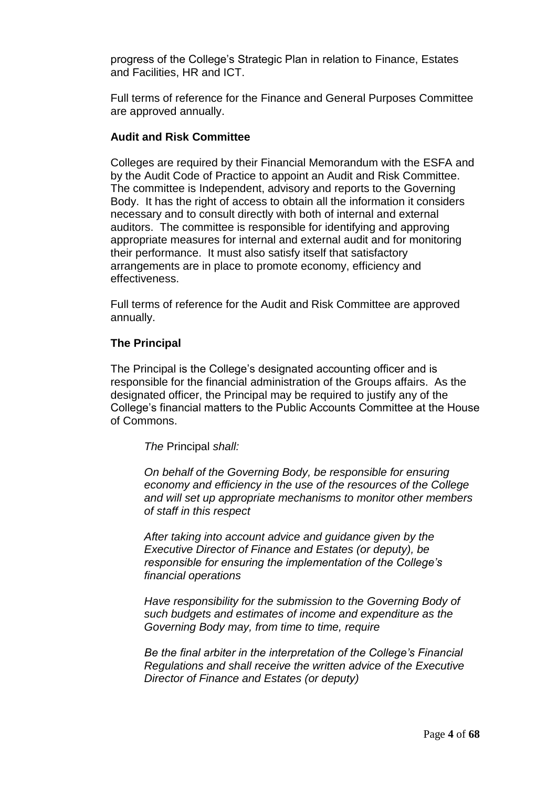progress of the College's Strategic Plan in relation to Finance, Estates and Facilities, HR and ICT.

Full terms of reference for the Finance and General Purposes Committee are approved annually.

# **Audit and Risk Committee**

Colleges are required by their Financial Memorandum with the ESFA and by the Audit Code of Practice to appoint an Audit and Risk Committee. The committee is Independent, advisory and reports to the Governing Body. It has the right of access to obtain all the information it considers necessary and to consult directly with both of internal and external auditors. The committee is responsible for identifying and approving appropriate measures for internal and external audit and for monitoring their performance. It must also satisfy itself that satisfactory arrangements are in place to promote economy, efficiency and effectiveness.

Full terms of reference for the Audit and Risk Committee are approved annually.

# **The Principal**

The Principal is the College's designated accounting officer and is responsible for the financial administration of the Groups affairs. As the designated officer, the Principal may be required to justify any of the College's financial matters to the Public Accounts Committee at the House of Commons.

*The* Principal *shall:*

*On behalf of the Governing Body, be responsible for ensuring economy and efficiency in the use of the resources of the College and will set up appropriate mechanisms to monitor other members of staff in this respect*

*After taking into account advice and guidance given by the Executive Director of Finance and Estates (or deputy), be responsible for ensuring the implementation of the College's financial operations*

*Have responsibility for the submission to the Governing Body of such budgets and estimates of income and expenditure as the Governing Body may, from time to time, require*

*Be the final arbiter in the interpretation of the College's Financial Regulations and shall receive the written advice of the Executive Director of Finance and Estates (or deputy)*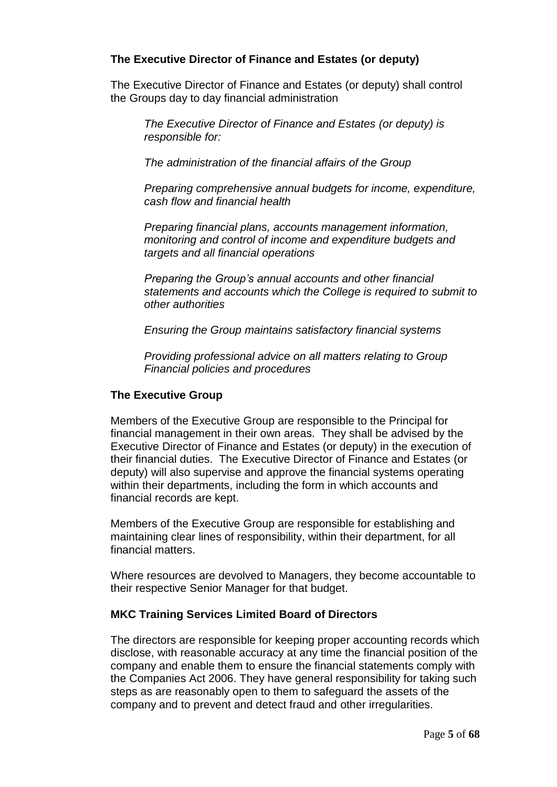# **The Executive Director of Finance and Estates (or deputy)**

The Executive Director of Finance and Estates (or deputy) shall control the Groups day to day financial administration

*The Executive Director of Finance and Estates (or deputy) is responsible for:*

*The administration of the financial affairs of the Group*

*Preparing comprehensive annual budgets for income, expenditure, cash flow and financial health*

*Preparing financial plans, accounts management information, monitoring and control of income and expenditure budgets and targets and all financial operations*

*Preparing the Group's annual accounts and other financial statements and accounts which the College is required to submit to other authorities*

*Ensuring the Group maintains satisfactory financial systems*

*Providing professional advice on all matters relating to Group Financial policies and procedures*

# **The Executive Group**

Members of the Executive Group are responsible to the Principal for financial management in their own areas. They shall be advised by the Executive Director of Finance and Estates (or deputy) in the execution of their financial duties. The Executive Director of Finance and Estates (or deputy) will also supervise and approve the financial systems operating within their departments, including the form in which accounts and financial records are kept.

Members of the Executive Group are responsible for establishing and maintaining clear lines of responsibility, within their department, for all financial matters.

Where resources are devolved to Managers, they become accountable to their respective Senior Manager for that budget.

# **MKC Training Services Limited Board of Directors**

The directors are responsible for keeping proper accounting records which disclose, with reasonable accuracy at any time the financial position of the company and enable them to ensure the financial statements comply with the Companies Act 2006. They have general responsibility for taking such steps as are reasonably open to them to safeguard the assets of the company and to prevent and detect fraud and other irregularities.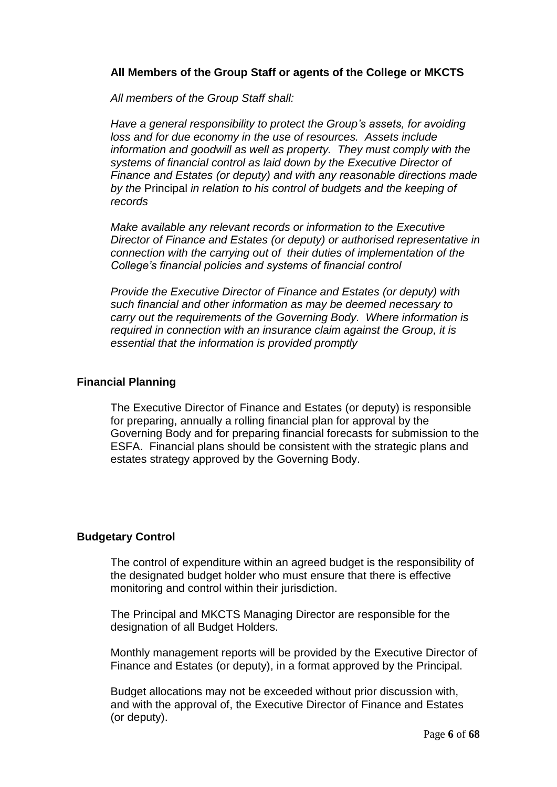# **All Members of the Group Staff or agents of the College or MKCTS**

*All members of the Group Staff shall:*

*Have a general responsibility to protect the Group's assets, for avoiding loss and for due economy in the use of resources. Assets include information and goodwill as well as property. They must comply with the systems of financial control as laid down by the Executive Director of Finance and Estates (or deputy) and with any reasonable directions made by the* Principal *in relation to his control of budgets and the keeping of records*

*Make available any relevant records or information to the Executive Director of Finance and Estates (or deputy) or authorised representative in connection with the carrying out of their duties of implementation of the College's financial policies and systems of financial control*

*Provide the Executive Director of Finance and Estates (or deputy) with such financial and other information as may be deemed necessary to carry out the requirements of the Governing Body. Where information is required in connection with an insurance claim against the Group, it is essential that the information is provided promptly*

# **Financial Planning**

The Executive Director of Finance and Estates (or deputy) is responsible for preparing, annually a rolling financial plan for approval by the Governing Body and for preparing financial forecasts for submission to the ESFA. Financial plans should be consistent with the strategic plans and estates strategy approved by the Governing Body.

# **Budgetary Control**

The control of expenditure within an agreed budget is the responsibility of the designated budget holder who must ensure that there is effective monitoring and control within their jurisdiction.

The Principal and MKCTS Managing Director are responsible for the designation of all Budget Holders.

Monthly management reports will be provided by the Executive Director of Finance and Estates (or deputy), in a format approved by the Principal.

Budget allocations may not be exceeded without prior discussion with, and with the approval of, the Executive Director of Finance and Estates (or deputy).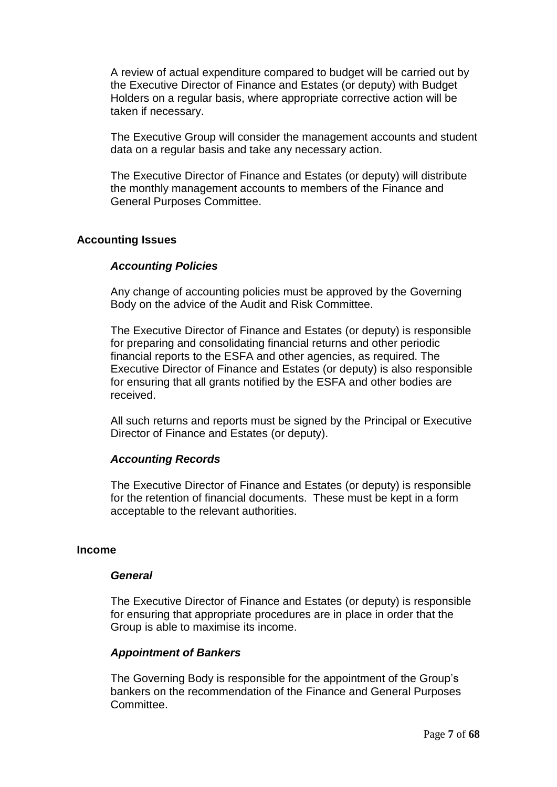A review of actual expenditure compared to budget will be carried out by the Executive Director of Finance and Estates (or deputy) with Budget Holders on a regular basis, where appropriate corrective action will be taken if necessary.

The Executive Group will consider the management accounts and student data on a regular basis and take any necessary action.

The Executive Director of Finance and Estates (or deputy) will distribute the monthly management accounts to members of the Finance and General Purposes Committee.

### **Accounting Issues**

### *Accounting Policies*

Any change of accounting policies must be approved by the Governing Body on the advice of the Audit and Risk Committee.

The Executive Director of Finance and Estates (or deputy) is responsible for preparing and consolidating financial returns and other periodic financial reports to the ESFA and other agencies, as required. The Executive Director of Finance and Estates (or deputy) is also responsible for ensuring that all grants notified by the ESFA and other bodies are received.

All such returns and reports must be signed by the Principal or Executive Director of Finance and Estates (or deputy).

#### *Accounting Records*

The Executive Director of Finance and Estates (or deputy) is responsible for the retention of financial documents. These must be kept in a form acceptable to the relevant authorities.

#### **Income**

#### *General*

The Executive Director of Finance and Estates (or deputy) is responsible for ensuring that appropriate procedures are in place in order that the Group is able to maximise its income.

#### *Appointment of Bankers*

The Governing Body is responsible for the appointment of the Group's bankers on the recommendation of the Finance and General Purposes Committee.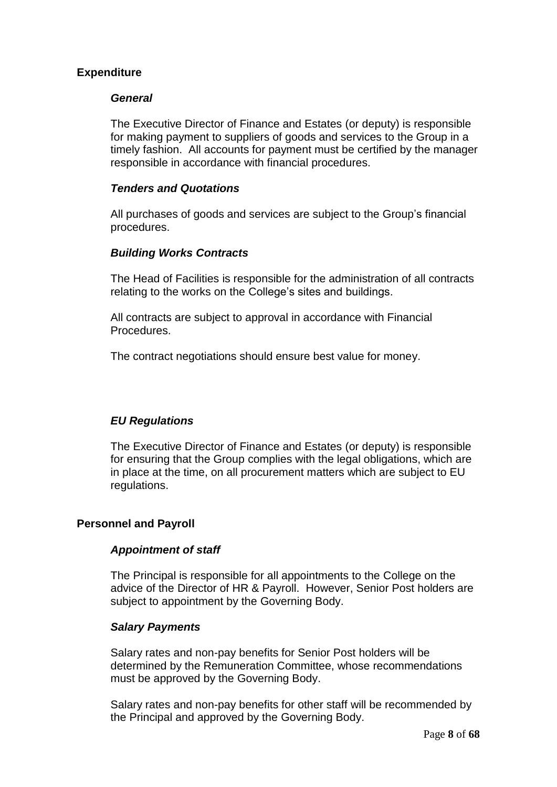# **Expenditure**

# *General*

The Executive Director of Finance and Estates (or deputy) is responsible for making payment to suppliers of goods and services to the Group in a timely fashion. All accounts for payment must be certified by the manager responsible in accordance with financial procedures.

# *Tenders and Quotations*

All purchases of goods and services are subject to the Group's financial procedures.

### *Building Works Contracts*

The Head of Facilities is responsible for the administration of all contracts relating to the works on the College's sites and buildings.

All contracts are subject to approval in accordance with Financial Procedures.

The contract negotiations should ensure best value for money.

# *EU Regulations*

The Executive Director of Finance and Estates (or deputy) is responsible for ensuring that the Group complies with the legal obligations, which are in place at the time, on all procurement matters which are subject to EU regulations.

# **Personnel and Payroll**

# *Appointment of staff*

The Principal is responsible for all appointments to the College on the advice of the Director of HR & Payroll. However, Senior Post holders are subject to appointment by the Governing Body.

#### *Salary Payments*

Salary rates and non-pay benefits for Senior Post holders will be determined by the Remuneration Committee, whose recommendations must be approved by the Governing Body.

Salary rates and non-pay benefits for other staff will be recommended by the Principal and approved by the Governing Body.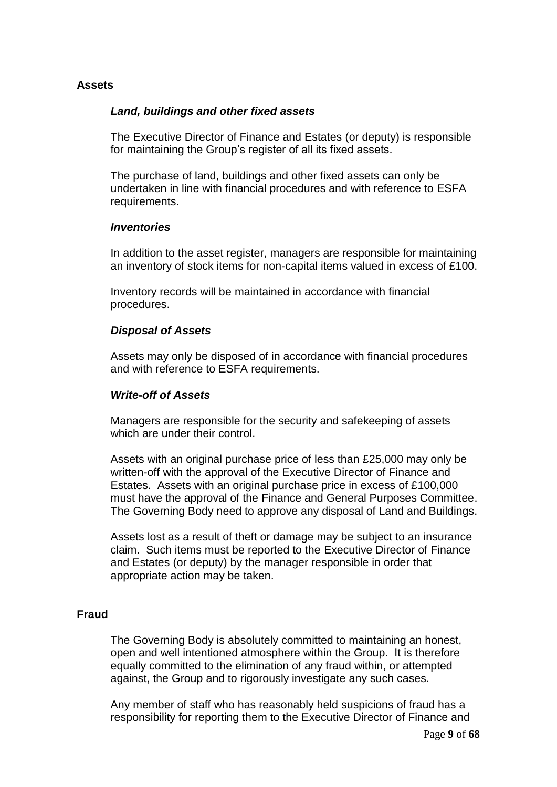# **Assets**

### *Land, buildings and other fixed assets*

The Executive Director of Finance and Estates (or deputy) is responsible for maintaining the Group's register of all its fixed assets.

The purchase of land, buildings and other fixed assets can only be undertaken in line with financial procedures and with reference to ESFA requirements.

#### *Inventories*

In addition to the asset register, managers are responsible for maintaining an inventory of stock items for non-capital items valued in excess of £100.

Inventory records will be maintained in accordance with financial procedures.

#### *Disposal of Assets*

Assets may only be disposed of in accordance with financial procedures and with reference to ESFA requirements.

#### *Write-off of Assets*

Managers are responsible for the security and safekeeping of assets which are under their control.

Assets with an original purchase price of less than £25,000 may only be written-off with the approval of the Executive Director of Finance and Estates. Assets with an original purchase price in excess of £100,000 must have the approval of the Finance and General Purposes Committee. The Governing Body need to approve any disposal of Land and Buildings.

Assets lost as a result of theft or damage may be subject to an insurance claim. Such items must be reported to the Executive Director of Finance and Estates (or deputy) by the manager responsible in order that appropriate action may be taken.

#### **Fraud**

The Governing Body is absolutely committed to maintaining an honest, open and well intentioned atmosphere within the Group. It is therefore equally committed to the elimination of any fraud within, or attempted against, the Group and to rigorously investigate any such cases.

Any member of staff who has reasonably held suspicions of fraud has a responsibility for reporting them to the Executive Director of Finance and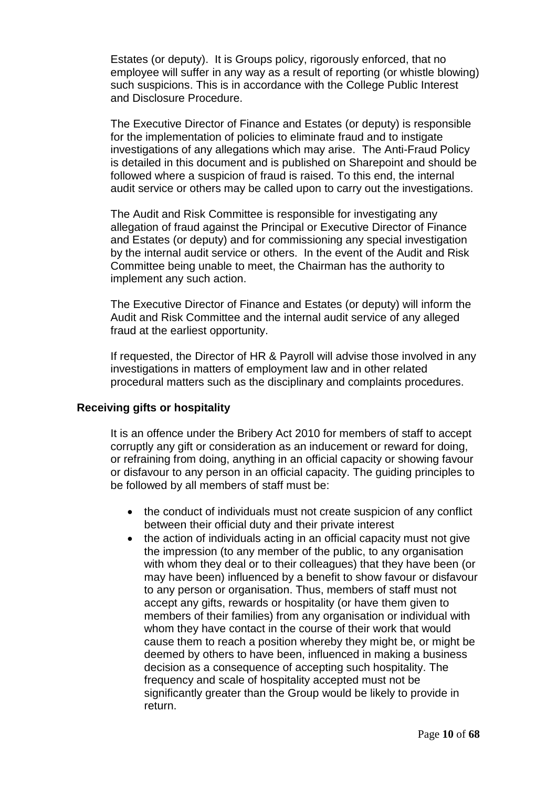Estates (or deputy). It is Groups policy, rigorously enforced, that no employee will suffer in any way as a result of reporting (or whistle blowing) such suspicions. This is in accordance with the College Public Interest and Disclosure Procedure.

The Executive Director of Finance and Estates (or deputy) is responsible for the implementation of policies to eliminate fraud and to instigate investigations of any allegations which may arise. The Anti-Fraud Policy is detailed in this document and is published on Sharepoint and should be followed where a suspicion of fraud is raised. To this end, the internal audit service or others may be called upon to carry out the investigations.

The Audit and Risk Committee is responsible for investigating any allegation of fraud against the Principal or Executive Director of Finance and Estates (or deputy) and for commissioning any special investigation by the internal audit service or others. In the event of the Audit and Risk Committee being unable to meet, the Chairman has the authority to implement any such action.

The Executive Director of Finance and Estates (or deputy) will inform the Audit and Risk Committee and the internal audit service of any alleged fraud at the earliest opportunity.

If requested, the Director of HR & Payroll will advise those involved in any investigations in matters of employment law and in other related procedural matters such as the disciplinary and complaints procedures.

# **Receiving gifts or hospitality**

It is an offence under the Bribery Act 2010 for members of staff to accept corruptly any gift or consideration as an inducement or reward for doing, or refraining from doing, anything in an official capacity or showing favour or disfavour to any person in an official capacity. The guiding principles to be followed by all members of staff must be:

- the conduct of individuals must not create suspicion of any conflict between their official duty and their private interest
- the action of individuals acting in an official capacity must not give the impression (to any member of the public, to any organisation with whom they deal or to their colleagues) that they have been (or may have been) influenced by a benefit to show favour or disfavour to any person or organisation. Thus, members of staff must not accept any gifts, rewards or hospitality (or have them given to members of their families) from any organisation or individual with whom they have contact in the course of their work that would cause them to reach a position whereby they might be, or might be deemed by others to have been, influenced in making a business decision as a consequence of accepting such hospitality. The frequency and scale of hospitality accepted must not be significantly greater than the Group would be likely to provide in return.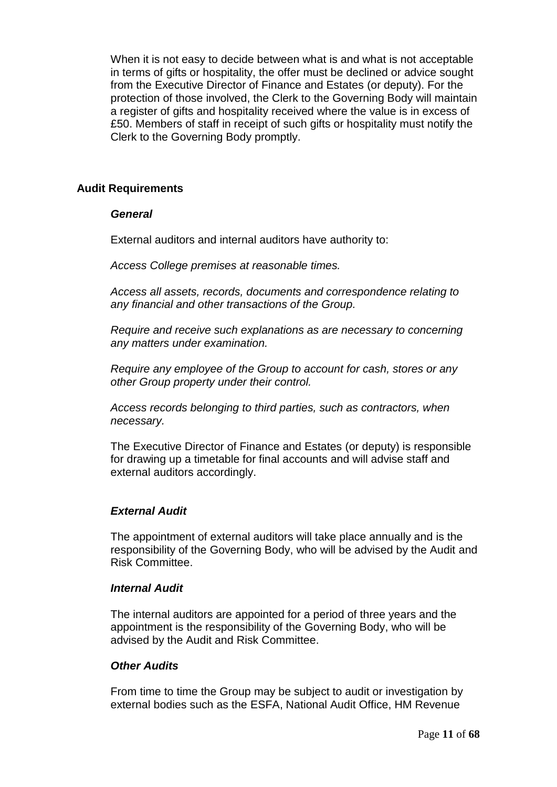When it is not easy to decide between what is and what is not acceptable in terms of gifts or hospitality, the offer must be declined or advice sought from the Executive Director of Finance and Estates (or deputy). For the protection of those involved, the Clerk to the Governing Body will maintain a register of gifts and hospitality received where the value is in excess of £50. Members of staff in receipt of such gifts or hospitality must notify the Clerk to the Governing Body promptly.

# **Audit Requirements**

### *General*

External auditors and internal auditors have authority to:

*Access College premises at reasonable times.*

*Access all assets, records, documents and correspondence relating to any financial and other transactions of the Group.*

*Require and receive such explanations as are necessary to concerning any matters under examination.*

*Require any employee of the Group to account for cash, stores or any other Group property under their control.*

*Access records belonging to third parties, such as contractors, when necessary.*

The Executive Director of Finance and Estates (or deputy) is responsible for drawing up a timetable for final accounts and will advise staff and external auditors accordingly.

# *External Audit*

The appointment of external auditors will take place annually and is the responsibility of the Governing Body, who will be advised by the Audit and Risk Committee.

#### *Internal Audit*

The internal auditors are appointed for a period of three years and the appointment is the responsibility of the Governing Body, who will be advised by the Audit and Risk Committee.

# *Other Audits*

From time to time the Group may be subject to audit or investigation by external bodies such as the ESFA, National Audit Office, HM Revenue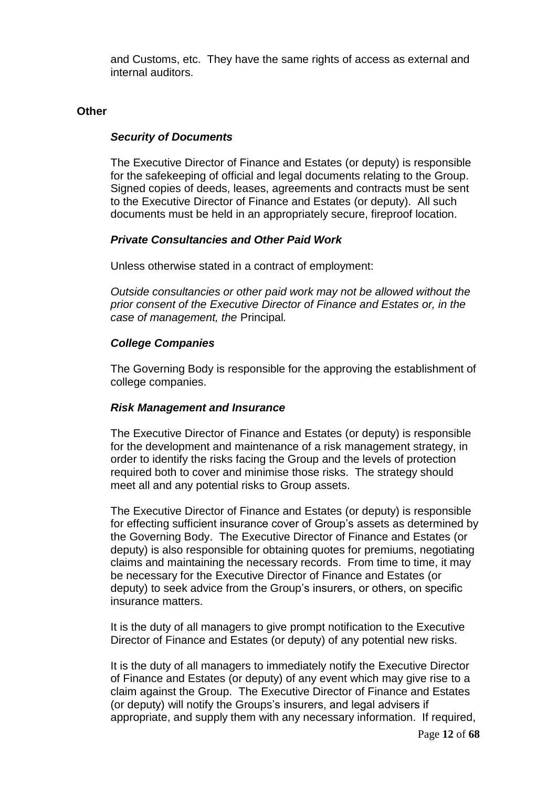and Customs, etc. They have the same rights of access as external and internal auditors.

### **Other**

### *Security of Documents*

The Executive Director of Finance and Estates (or deputy) is responsible for the safekeeping of official and legal documents relating to the Group. Signed copies of deeds, leases, agreements and contracts must be sent to the Executive Director of Finance and Estates (or deputy). All such documents must be held in an appropriately secure, fireproof location.

# *Private Consultancies and Other Paid Work*

Unless otherwise stated in a contract of employment:

*Outside consultancies or other paid work may not be allowed without the prior consent of the Executive Director of Finance and Estates or, in the case of management, the* Principal*.*

# *College Companies*

The Governing Body is responsible for the approving the establishment of college companies.

#### *Risk Management and Insurance*

The Executive Director of Finance and Estates (or deputy) is responsible for the development and maintenance of a risk management strategy, in order to identify the risks facing the Group and the levels of protection required both to cover and minimise those risks. The strategy should meet all and any potential risks to Group assets.

The Executive Director of Finance and Estates (or deputy) is responsible for effecting sufficient insurance cover of Group's assets as determined by the Governing Body. The Executive Director of Finance and Estates (or deputy) is also responsible for obtaining quotes for premiums, negotiating claims and maintaining the necessary records. From time to time, it may be necessary for the Executive Director of Finance and Estates (or deputy) to seek advice from the Group's insurers, or others, on specific insurance matters.

It is the duty of all managers to give prompt notification to the Executive Director of Finance and Estates (or deputy) of any potential new risks.

It is the duty of all managers to immediately notify the Executive Director of Finance and Estates (or deputy) of any event which may give rise to a claim against the Group. The Executive Director of Finance and Estates (or deputy) will notify the Groups's insurers, and legal advisers if appropriate, and supply them with any necessary information. If required,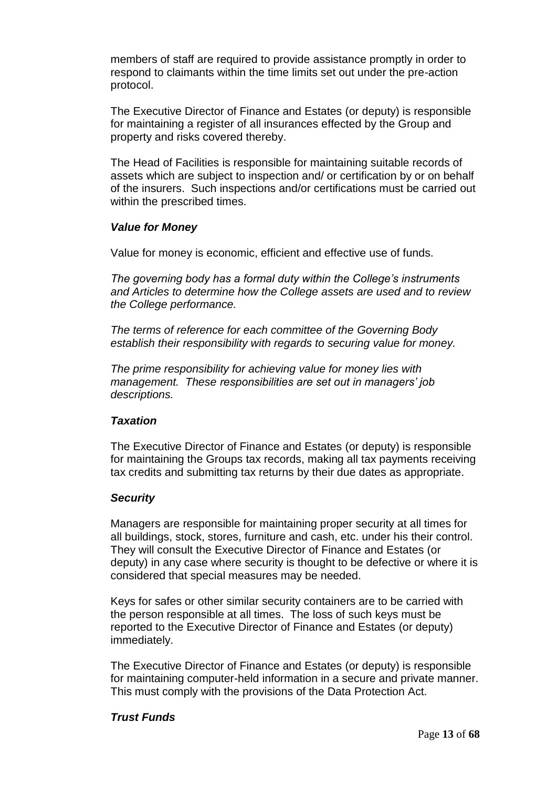members of staff are required to provide assistance promptly in order to respond to claimants within the time limits set out under the pre-action protocol.

The Executive Director of Finance and Estates (or deputy) is responsible for maintaining a register of all insurances effected by the Group and property and risks covered thereby.

The Head of Facilities is responsible for maintaining suitable records of assets which are subject to inspection and/ or certification by or on behalf of the insurers. Such inspections and/or certifications must be carried out within the prescribed times.

# *Value for Money*

Value for money is economic, efficient and effective use of funds.

*The governing body has a formal duty within the College's instruments and Articles to determine how the College assets are used and to review the College performance.*

*The terms of reference for each committee of the Governing Body establish their responsibility with regards to securing value for money.*

*The prime responsibility for achieving value for money lies with management. These responsibilities are set out in managers' job descriptions.*

# *Taxation*

The Executive Director of Finance and Estates (or deputy) is responsible for maintaining the Groups tax records, making all tax payments receiving tax credits and submitting tax returns by their due dates as appropriate.

# *Security*

Managers are responsible for maintaining proper security at all times for all buildings, stock, stores, furniture and cash, etc. under his their control. They will consult the Executive Director of Finance and Estates (or deputy) in any case where security is thought to be defective or where it is considered that special measures may be needed.

Keys for safes or other similar security containers are to be carried with the person responsible at all times. The loss of such keys must be reported to the Executive Director of Finance and Estates (or deputy) immediately.

The Executive Director of Finance and Estates (or deputy) is responsible for maintaining computer-held information in a secure and private manner. This must comply with the provisions of the Data Protection Act.

# *Trust Funds*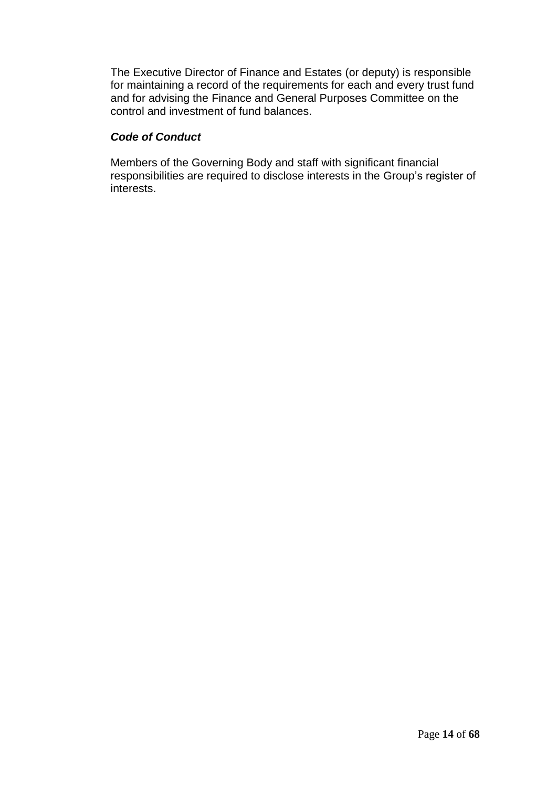The Executive Director of Finance and Estates (or deputy) is responsible for maintaining a record of the requirements for each and every trust fund and for advising the Finance and General Purposes Committee on the control and investment of fund balances.

# *Code of Conduct*

Members of the Governing Body and staff with significant financial responsibilities are required to disclose interests in the Group's register of interests.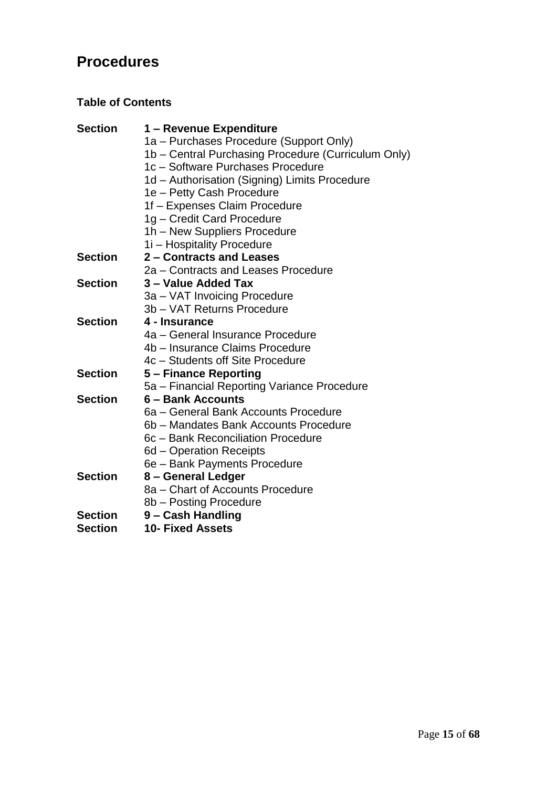# **Procedures**

# **Table of Contents**

| <b>Section</b> | 1 – Revenue Expenditure                             |
|----------------|-----------------------------------------------------|
|                | 1a - Purchases Procedure (Support Only)             |
|                | 1b – Central Purchasing Procedure (Curriculum Only) |
|                | 1c - Software Purchases Procedure                   |
|                | 1d – Authorisation (Signing) Limits Procedure       |
|                | 1e - Petty Cash Procedure                           |
|                | 1f - Expenses Claim Procedure                       |
|                | 1g - Credit Card Procedure                          |
|                | 1h - New Suppliers Procedure                        |
|                | 1i – Hospitality Procedure                          |
| <b>Section</b> | 2 - Contracts and Leases                            |
|                | 2a – Contracts and Leases Procedure                 |
| <b>Section</b> | 3 – Value Added Tax                                 |
|                | 3a – VAT Invoicing Procedure                        |
|                | 3b - VAT Returns Procedure                          |
| <b>Section</b> | 4 - Insurance                                       |
|                | 4a – General Insurance Procedure                    |
|                | 4b – Insurance Claims Procedure                     |
|                | 4c – Students off Site Procedure                    |
| <b>Section</b> | 5 - Finance Reporting                               |
|                | 5a - Financial Reporting Variance Procedure         |
| <b>Section</b> | 6 - Bank Accounts                                   |
|                | 6a - General Bank Accounts Procedure                |
|                | 6b – Mandates Bank Accounts Procedure               |
|                | 6c - Bank Reconciliation Procedure                  |
|                | 6d – Operation Receipts                             |
|                | 6e - Bank Payments Procedure                        |
| <b>Section</b> | 8 – General Ledger                                  |
|                | 8a – Chart of Accounts Procedure                    |
|                | 8b - Posting Procedure                              |
| <b>Section</b> | 9 – Cash Handling                                   |
| <b>Section</b> | <b>10- Fixed Assets</b>                             |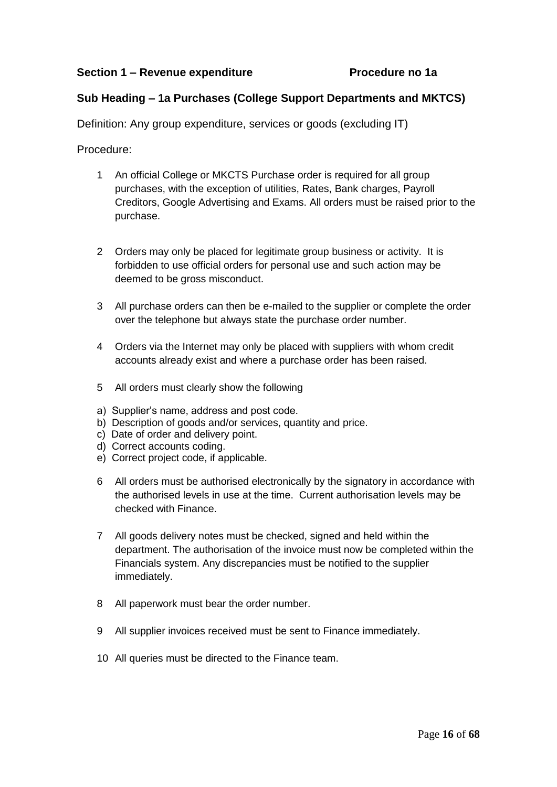# **Sub Heading – 1a Purchases (College Support Departments and MKTCS)**

Definition: Any group expenditure, services or goods (excluding IT)

- 1 An official College or MKCTS Purchase order is required for all group purchases, with the exception of utilities, Rates, Bank charges, Payroll Creditors, Google Advertising and Exams. All orders must be raised prior to the purchase.
- 2 Orders may only be placed for legitimate group business or activity. It is forbidden to use official orders for personal use and such action may be deemed to be gross misconduct.
- 3 All purchase orders can then be e-mailed to the supplier or complete the order over the telephone but always state the purchase order number.
- 4 Orders via the Internet may only be placed with suppliers with whom credit accounts already exist and where a purchase order has been raised.
- 5 All orders must clearly show the following
- a) Supplier's name, address and post code.
- b) Description of goods and/or services, quantity and price.
- c) Date of order and delivery point.
- d) Correct accounts coding.
- e) Correct project code, if applicable.
- 6 All orders must be authorised electronically by the signatory in accordance with the authorised levels in use at the time. Current authorisation levels may be checked with Finance.
- 7 All goods delivery notes must be checked, signed and held within the department. The authorisation of the invoice must now be completed within the Financials system. Any discrepancies must be notified to the supplier immediately.
- 8 All paperwork must bear the order number.
- 9 All supplier invoices received must be sent to Finance immediately.
- 10 All queries must be directed to the Finance team.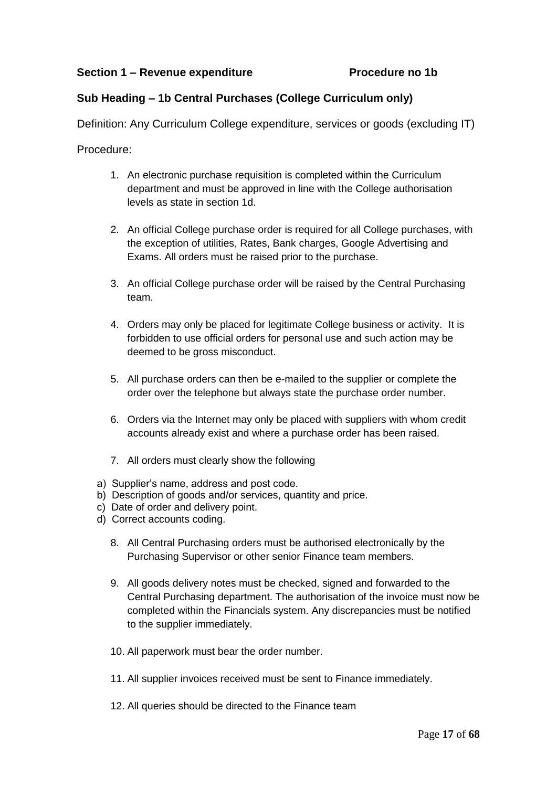# **Sub Heading – 1b Central Purchases (College Curriculum only)**

Definition: Any Curriculum College expenditure, services or goods (excluding IT)

- 1. An electronic purchase requisition is completed within the Curriculum department and must be approved in line with the College authorisation levels as state in section 1d.
- 2. An official College purchase order is required for all College purchases, with the exception of utilities, Rates, Bank charges, Google Advertising and Exams. All orders must be raised prior to the purchase.
- 3. An official College purchase order will be raised by the Central Purchasing team.
- 4. Orders may only be placed for legitimate College business or activity. It is forbidden to use official orders for personal use and such action may be deemed to be gross misconduct.
- 5. All purchase orders can then be e-mailed to the supplier or complete the order over the telephone but always state the purchase order number.
- 6. Orders via the Internet may only be placed with suppliers with whom credit accounts already exist and where a purchase order has been raised.
- 7. All orders must clearly show the following
- a) Supplier's name, address and post code.
- b) Description of goods and/or services, quantity and price.
- c) Date of order and delivery point.
- d) Correct accounts coding.
	- 8. All Central Purchasing orders must be authorised electronically by the Purchasing Supervisor or other senior Finance team members.
	- 9. All goods delivery notes must be checked, signed and forwarded to the Central Purchasing department. The authorisation of the invoice must now be completed within the Financials system. Any discrepancies must be notified to the supplier immediately.
	- 10. All paperwork must bear the order number.
	- 11. All supplier invoices received must be sent to Finance immediately.
	- 12. All queries should be directed to the Finance team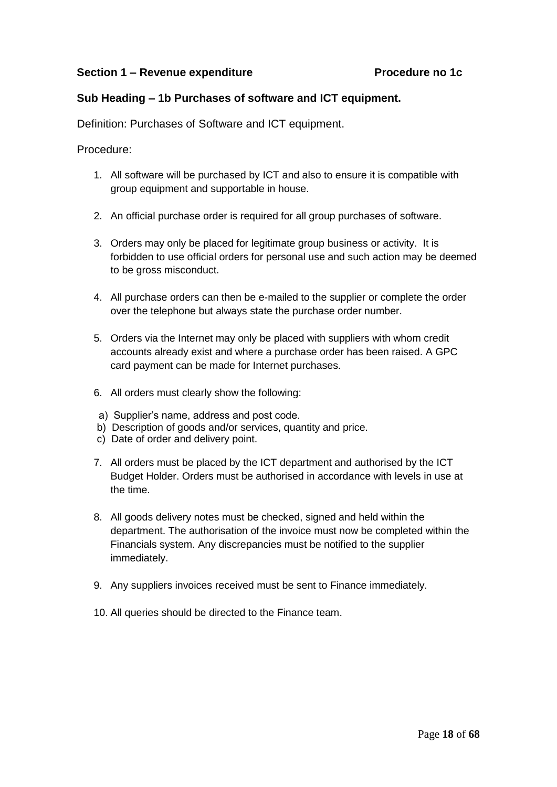# **Sub Heading – 1b Purchases of software and ICT equipment.**

Definition: Purchases of Software and ICT equipment.

- 1. All software will be purchased by ICT and also to ensure it is compatible with group equipment and supportable in house.
- 2. An official purchase order is required for all group purchases of software.
- 3. Orders may only be placed for legitimate group business or activity. It is forbidden to use official orders for personal use and such action may be deemed to be gross misconduct.
- 4. All purchase orders can then be e-mailed to the supplier or complete the order over the telephone but always state the purchase order number.
- 5. Orders via the Internet may only be placed with suppliers with whom credit accounts already exist and where a purchase order has been raised. A GPC card payment can be made for Internet purchases.
- 6. All orders must clearly show the following:
- a) Supplier's name, address and post code.
- b) Description of goods and/or services, quantity and price.
- c) Date of order and delivery point.
- 7. All orders must be placed by the ICT department and authorised by the ICT Budget Holder. Orders must be authorised in accordance with levels in use at the time.
- 8. All goods delivery notes must be checked, signed and held within the department. The authorisation of the invoice must now be completed within the Financials system. Any discrepancies must be notified to the supplier immediately.
- 9. Any suppliers invoices received must be sent to Finance immediately.
- 10. All queries should be directed to the Finance team.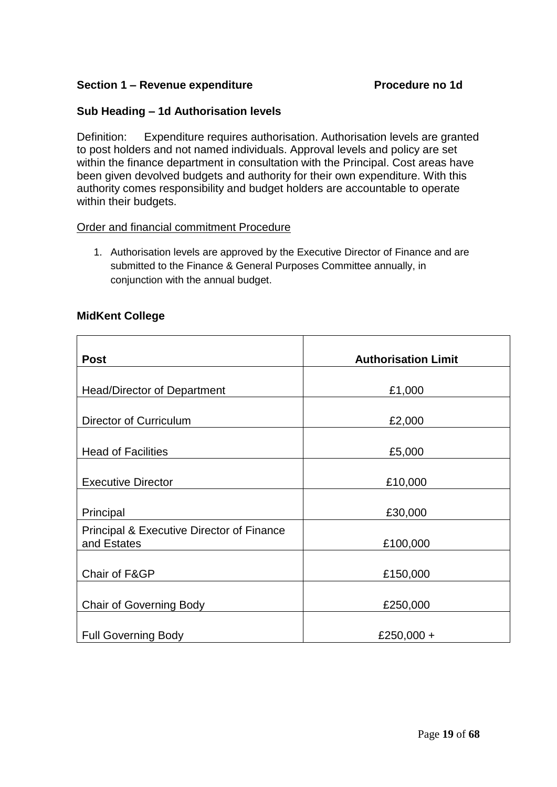# **Section 1 – Revenue expenditure Procedure no 1d**

# **Sub Heading – 1d Authorisation levels**

Definition: Expenditure requires authorisation. Authorisation levels are granted to post holders and not named individuals. Approval levels and policy are set within the finance department in consultation with the Principal. Cost areas have been given devolved budgets and authority for their own expenditure. With this authority comes responsibility and budget holders are accountable to operate within their budgets.

### Order and financial commitment Procedure

1. Authorisation levels are approved by the Executive Director of Finance and are submitted to the Finance & General Purposes Committee annually, in conjunction with the annual budget.

# **MidKent College**

| <b>Post</b>                                                         | <b>Authorisation Limit</b> |
|---------------------------------------------------------------------|----------------------------|
| <b>Head/Director of Department</b>                                  | £1,000                     |
| Director of Curriculum                                              | £2,000                     |
| <b>Head of Facilities</b>                                           | £5,000                     |
| <b>Executive Director</b>                                           | £10,000                    |
| Principal                                                           | £30,000                    |
| <b>Principal &amp; Executive Director of Finance</b><br>and Estates | £100,000                   |
| Chair of F&GP                                                       | £150,000                   |
| <b>Chair of Governing Body</b>                                      | £250,000                   |
| <b>Full Governing Body</b>                                          | £250,000 +                 |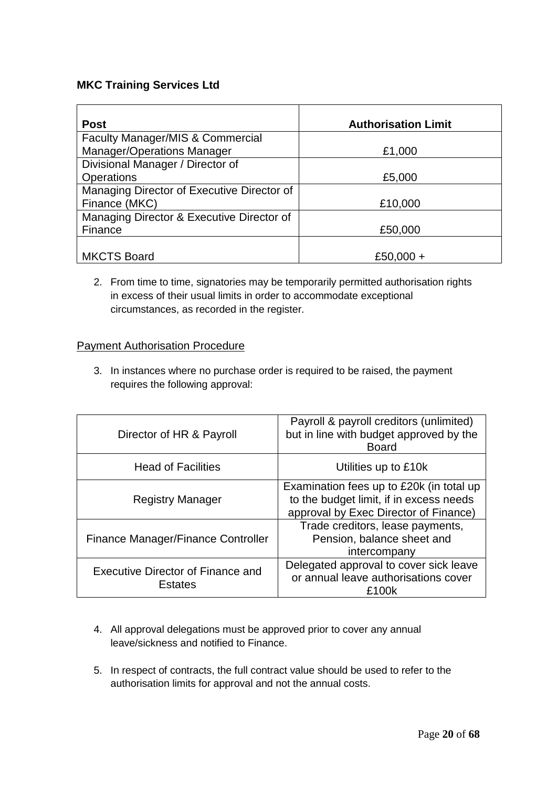# **MKC Training Services Ltd**

| <b>Post</b>                                 | <b>Authorisation Limit</b> |
|---------------------------------------------|----------------------------|
| <b>Faculty Manager/MIS &amp; Commercial</b> |                            |
| <b>Manager/Operations Manager</b>           | £1,000                     |
| Divisional Manager / Director of            |                            |
| <b>Operations</b>                           | £5,000                     |
| Managing Director of Executive Director of  |                            |
| Finance (MKC)                               | £10,000                    |
| Managing Director & Executive Director of   |                            |
| Finance                                     | £50,000                    |
|                                             |                            |
| <b>MKCTS Board</b>                          | £50,000 +                  |

2. From time to time, signatories may be temporarily permitted authorisation rights in excess of their usual limits in order to accommodate exceptional circumstances, as recorded in the register.

### **Payment Authorisation Procedure**

3. In instances where no purchase order is required to be raised, the payment requires the following approval:

| Director of HR & Payroll                            | Payroll & payroll creditors (unlimited)<br>but in line with budget approved by the<br><b>Board</b>                           |
|-----------------------------------------------------|------------------------------------------------------------------------------------------------------------------------------|
| <b>Head of Facilities</b>                           | Utilities up to £10k                                                                                                         |
| <b>Registry Manager</b>                             | Examination fees up to £20k (in total up<br>to the budget limit, if in excess needs<br>approval by Exec Director of Finance) |
| Finance Manager/Finance Controller                  | Trade creditors, lease payments,<br>Pension, balance sheet and<br>intercompany                                               |
| Executive Director of Finance and<br><b>Estates</b> | Delegated approval to cover sick leave<br>or annual leave authorisations cover<br>£100k                                      |

- 4. All approval delegations must be approved prior to cover any annual leave/sickness and notified to Finance.
- 5. In respect of contracts, the full contract value should be used to refer to the authorisation limits for approval and not the annual costs.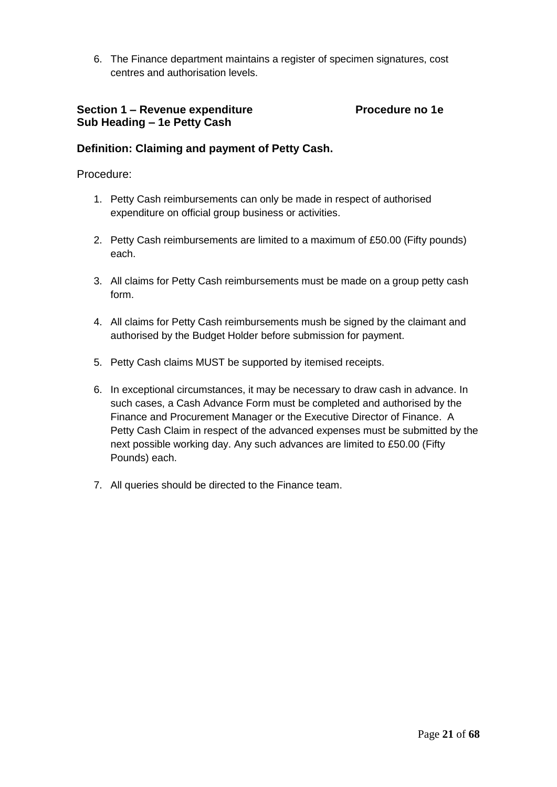6. The Finance department maintains a register of specimen signatures, cost centres and authorisation levels.

# **Section 1 – Revenue expenditure Procedure no 1e Sub Heading – 1e Petty Cash**

# **Definition: Claiming and payment of Petty Cash.**

- 1. Petty Cash reimbursements can only be made in respect of authorised expenditure on official group business or activities.
- 2. Petty Cash reimbursements are limited to a maximum of £50.00 (Fifty pounds) each.
- 3. All claims for Petty Cash reimbursements must be made on a group petty cash form.
- 4. All claims for Petty Cash reimbursements mush be signed by the claimant and authorised by the Budget Holder before submission for payment.
- 5. Petty Cash claims MUST be supported by itemised receipts.
- 6. In exceptional circumstances, it may be necessary to draw cash in advance. In such cases, a Cash Advance Form must be completed and authorised by the Finance and Procurement Manager or the Executive Director of Finance. A Petty Cash Claim in respect of the advanced expenses must be submitted by the next possible working day. Any such advances are limited to £50.00 (Fifty Pounds) each.
- 7. All queries should be directed to the Finance team.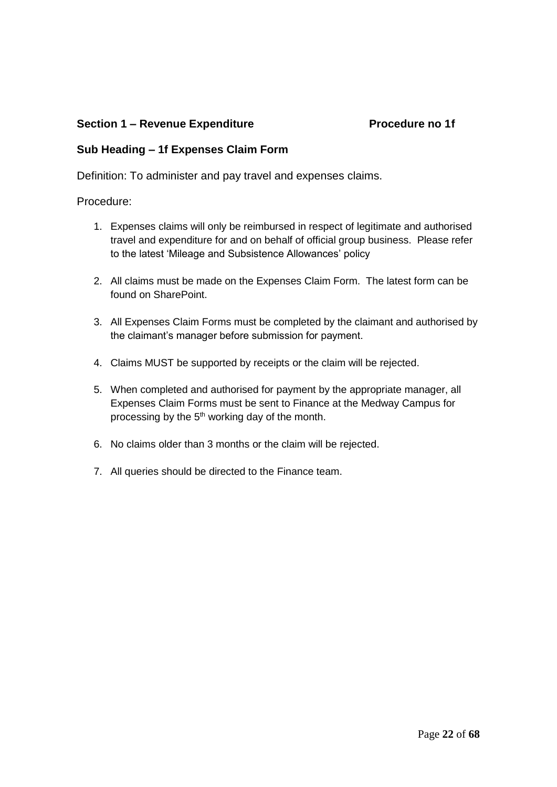# **Section 1 – Revenue Expenditure Procedure no 1f**

# **Sub Heading – 1f Expenses Claim Form**

Definition: To administer and pay travel and expenses claims.

- 1. Expenses claims will only be reimbursed in respect of legitimate and authorised travel and expenditure for and on behalf of official group business. Please refer to the latest 'Mileage and Subsistence Allowances' policy
- 2. All claims must be made on the Expenses Claim Form. The latest form can be found on SharePoint.
- 3. All Expenses Claim Forms must be completed by the claimant and authorised by the claimant's manager before submission for payment.
- 4. Claims MUST be supported by receipts or the claim will be rejected.
- 5. When completed and authorised for payment by the appropriate manager, all Expenses Claim Forms must be sent to Finance at the Medway Campus for processing by the 5<sup>th</sup> working day of the month.
- 6. No claims older than 3 months or the claim will be rejected.
- 7. All queries should be directed to the Finance team.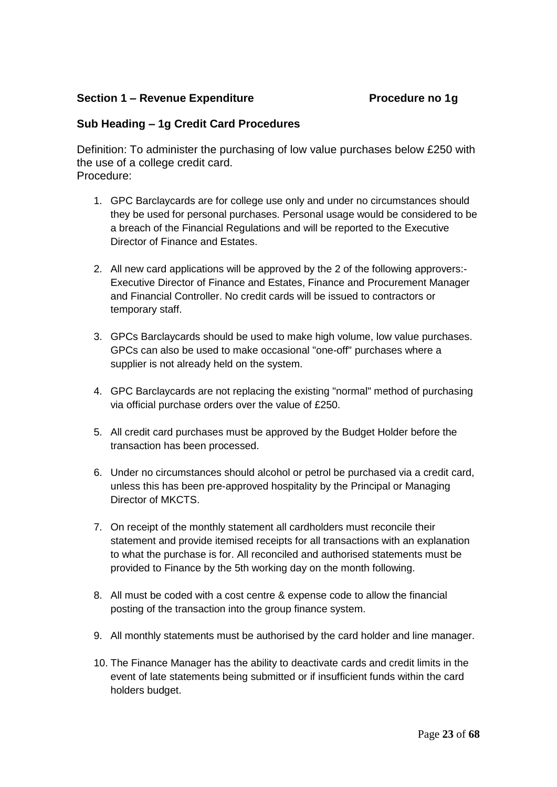# **Section 1 – Revenue Expenditure Procedure no 1g**

# **Sub Heading – 1g Credit Card Procedures**

Definition: To administer the purchasing of low value purchases below £250 with the use of a college credit card. Procedure:

- 1. GPC Barclaycards are for college use only and under no circumstances should they be used for personal purchases. Personal usage would be considered to be a breach of the Financial Regulations and will be reported to the Executive Director of Finance and Estates.
- 2. All new card applications will be approved by the 2 of the following approvers:- Executive Director of Finance and Estates, Finance and Procurement Manager and Financial Controller. No credit cards will be issued to contractors or temporary staff.
- 3. GPCs Barclaycards should be used to make high volume, low value purchases. GPCs can also be used to make occasional "one-off" purchases where a supplier is not already held on the system.
- 4. GPC Barclaycards are not replacing the existing "normal" method of purchasing via official purchase orders over the value of £250.
- 5. All credit card purchases must be approved by the Budget Holder before the transaction has been processed.
- 6. Under no circumstances should alcohol or petrol be purchased via a credit card, unless this has been pre-approved hospitality by the Principal or Managing Director of MKCTS.
- 7. On receipt of the monthly statement all cardholders must reconcile their statement and provide itemised receipts for all transactions with an explanation to what the purchase is for. All reconciled and authorised statements must be provided to Finance by the 5th working day on the month following.
- 8. All must be coded with a cost centre & expense code to allow the financial posting of the transaction into the group finance system.
- 9. All monthly statements must be authorised by the card holder and line manager.
- 10. The Finance Manager has the ability to deactivate cards and credit limits in the event of late statements being submitted or if insufficient funds within the card holders budget.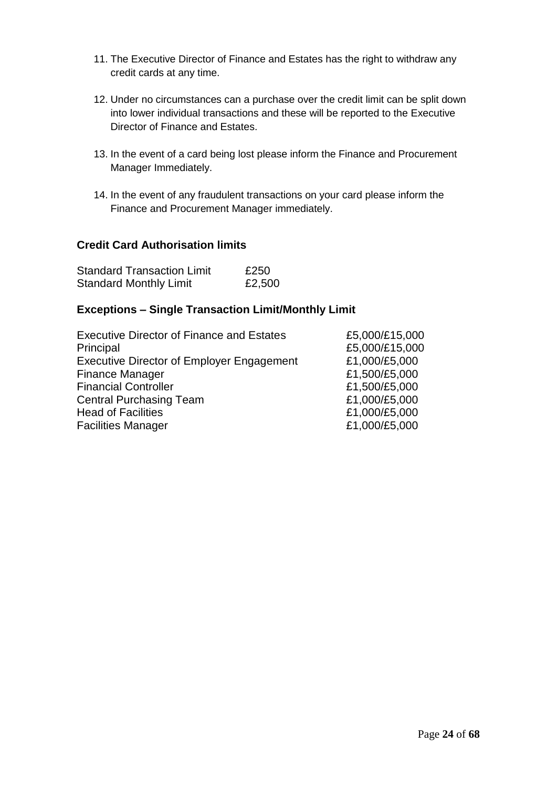- 11. The Executive Director of Finance and Estates has the right to withdraw any credit cards at any time.
- 12. Under no circumstances can a purchase over the credit limit can be split down into lower individual transactions and these will be reported to the Executive Director of Finance and Estates.
- 13. In the event of a card being lost please inform the Finance and Procurement Manager Immediately.
- 14. In the event of any fraudulent transactions on your card please inform the Finance and Procurement Manager immediately.

# **Credit Card Authorisation limits**

| <b>Standard Transaction Limit</b> | £250   |
|-----------------------------------|--------|
| <b>Standard Monthly Limit</b>     | £2,500 |

# **Exceptions – Single Transaction Limit/Monthly Limit**

| <b>Executive Director of Finance and Estates</b> | £5,000/£15,000 |
|--------------------------------------------------|----------------|
| Principal                                        | £5,000/£15,000 |
| <b>Executive Director of Employer Engagement</b> | £1,000/£5,000  |
| <b>Finance Manager</b>                           | £1,500/£5,000  |
| <b>Financial Controller</b>                      | £1,500/£5,000  |
| <b>Central Purchasing Team</b>                   | £1,000/£5,000  |
| <b>Head of Facilities</b>                        | £1,000/£5,000  |
| <b>Facilities Manager</b>                        | £1,000/£5,000  |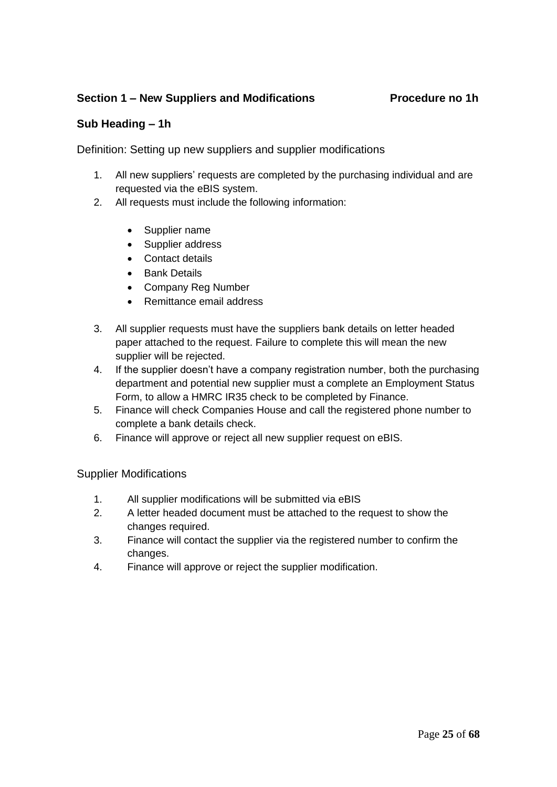# **Section 1 – New Suppliers and Modifications Procedure no 1h**

# **Sub Heading – 1h**

Definition: Setting up new suppliers and supplier modifications

- 1. All new suppliers' requests are completed by the purchasing individual and are requested via the eBIS system.
- 2. All requests must include the following information:
	- Supplier name
	- Supplier address
	- Contact details
	- Bank Details
	- Company Reg Number
	- Remittance email address
- 3. All supplier requests must have the suppliers bank details on letter headed paper attached to the request. Failure to complete this will mean the new supplier will be rejected.
- 4. If the supplier doesn't have a company registration number, both the purchasing department and potential new supplier must a complete an Employment Status Form, to allow a HMRC IR35 check to be completed by Finance.
- 5. Finance will check Companies House and call the registered phone number to complete a bank details check.
- 6. Finance will approve or reject all new supplier request on eBIS.

Supplier Modifications

- 1. All supplier modifications will be submitted via eBIS
- 2. A letter headed document must be attached to the request to show the changes required.
- 3. Finance will contact the supplier via the registered number to confirm the changes.
- 4. Finance will approve or reject the supplier modification.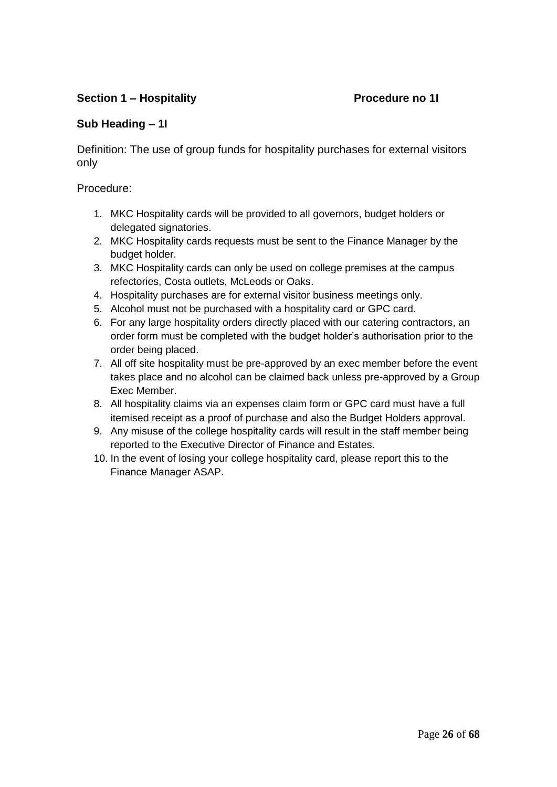# **Section 1 – Hospitality Procedure no 1I**

# **Sub Heading – 1I**

Definition: The use of group funds for hospitality purchases for external visitors only

- 1. MKC Hospitality cards will be provided to all governors, budget holders or delegated signatories.
- 2. MKC Hospitality cards requests must be sent to the Finance Manager by the budget holder.
- 3. MKC Hospitality cards can only be used on college premises at the campus refectories, Costa outlets, McLeods or Oaks.
- 4. Hospitality purchases are for external visitor business meetings only.
- 5. Alcohol must not be purchased with a hospitality card or GPC card.
- 6. For any large hospitality orders directly placed with our catering contractors, an order form must be completed with the budget holder's authorisation prior to the order being placed.
- 7. All off site hospitality must be pre-approved by an exec member before the event takes place and no alcohol can be claimed back unless pre-approved by a Group Exec Member.
- 8. All hospitality claims via an expenses claim form or GPC card must have a full itemised receipt as a proof of purchase and also the Budget Holders approval.
- 9. Any misuse of the college hospitality cards will result in the staff member being reported to the Executive Director of Finance and Estates.
- 10. In the event of losing your college hospitality card, please report this to the Finance Manager ASAP.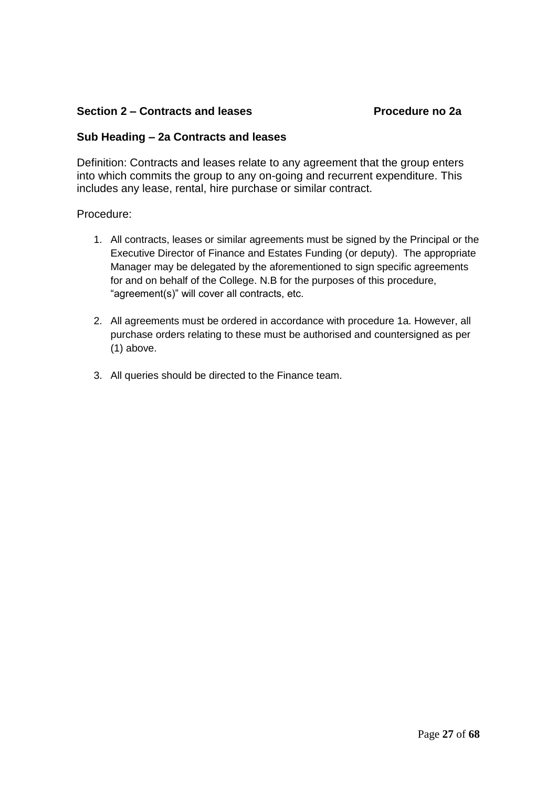# **Section 2 – Contracts and leases Procedure no 2a**

### **Sub Heading – 2a Contracts and leases**

Definition: Contracts and leases relate to any agreement that the group enters into which commits the group to any on-going and recurrent expenditure. This includes any lease, rental, hire purchase or similar contract.

- 1. All contracts, leases or similar agreements must be signed by the Principal or the Executive Director of Finance and Estates Funding (or deputy). The appropriate Manager may be delegated by the aforementioned to sign specific agreements for and on behalf of the College. N.B for the purposes of this procedure, "agreement(s)" will cover all contracts, etc.
- 2. All agreements must be ordered in accordance with procedure 1a. However, all purchase orders relating to these must be authorised and countersigned as per (1) above.
- 3. All queries should be directed to the Finance team.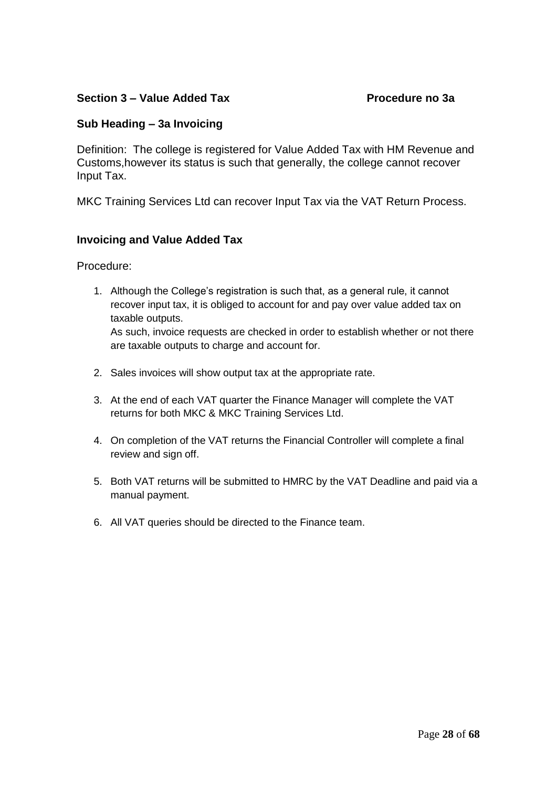# **Section 3 – Value Added Tax Procedure no 3a**

# **Sub Heading – 3a Invoicing**

Definition: The college is registered for Value Added Tax with HM Revenue and Customs,however its status is such that generally, the college cannot recover Input Tax.

MKC Training Services Ltd can recover Input Tax via the VAT Return Process.

# **Invoicing and Value Added Tax**

Procedure:

1. Although the College's registration is such that, as a general rule, it cannot recover input tax, it is obliged to account for and pay over value added tax on taxable outputs.

As such, invoice requests are checked in order to establish whether or not there are taxable outputs to charge and account for.

- 2. Sales invoices will show output tax at the appropriate rate.
- 3. At the end of each VAT quarter the Finance Manager will complete the VAT returns for both MKC & MKC Training Services Ltd.
- 4. On completion of the VAT returns the Financial Controller will complete a final review and sign off.
- 5. Both VAT returns will be submitted to HMRC by the VAT Deadline and paid via a manual payment.
- 6. All VAT queries should be directed to the Finance team.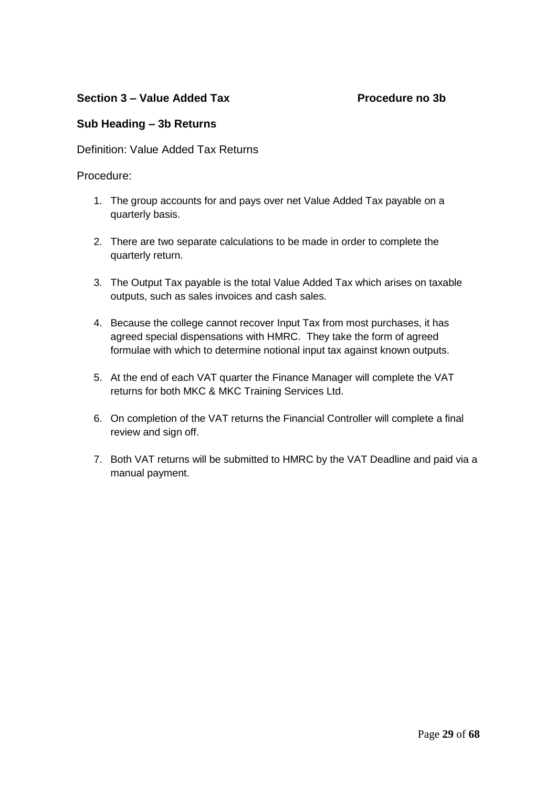# **Section 3 – Value Added Tax Procedure no 3b**

# **Sub Heading – 3b Returns**

Definition: Value Added Tax Returns

- 1. The group accounts for and pays over net Value Added Tax payable on a quarterly basis.
- 2. There are two separate calculations to be made in order to complete the quarterly return.
- 3. The Output Tax payable is the total Value Added Tax which arises on taxable outputs, such as sales invoices and cash sales.
- 4. Because the college cannot recover Input Tax from most purchases, it has agreed special dispensations with HMRC. They take the form of agreed formulae with which to determine notional input tax against known outputs.
- 5. At the end of each VAT quarter the Finance Manager will complete the VAT returns for both MKC & MKC Training Services Ltd.
- 6. On completion of the VAT returns the Financial Controller will complete a final review and sign off.
- 7. Both VAT returns will be submitted to HMRC by the VAT Deadline and paid via a manual payment.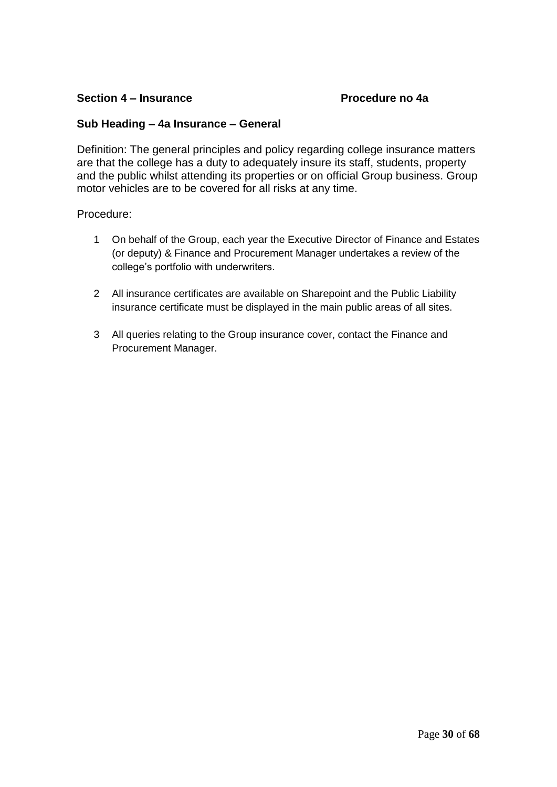# **Section 4 – Insurance Procedure no 4a**

# **Sub Heading – 4a Insurance – General**

Definition: The general principles and policy regarding college insurance matters are that the college has a duty to adequately insure its staff, students, property and the public whilst attending its properties or on official Group business. Group motor vehicles are to be covered for all risks at any time.

- 1 On behalf of the Group, each year the Executive Director of Finance and Estates (or deputy) & Finance and Procurement Manager undertakes a review of the college's portfolio with underwriters.
- 2 All insurance certificates are available on Sharepoint and the Public Liability insurance certificate must be displayed in the main public areas of all sites.
- 3 All queries relating to the Group insurance cover, contact the Finance and Procurement Manager.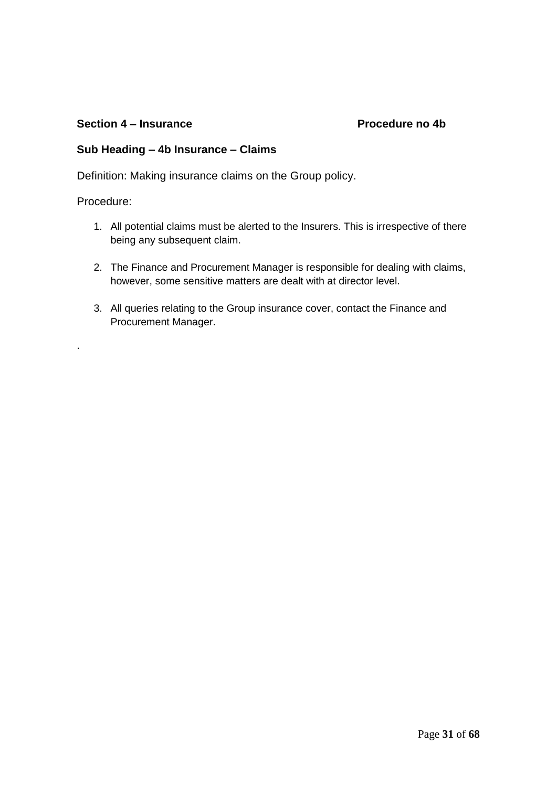### **Section 4 – Insurance Procedure no 4b**

# **Sub Heading – 4b Insurance – Claims**

Definition: Making insurance claims on the Group policy.

Procedure:

.

- 1. All potential claims must be alerted to the Insurers. This is irrespective of there being any subsequent claim.
- 2. The Finance and Procurement Manager is responsible for dealing with claims, however, some sensitive matters are dealt with at director level.
- 3. All queries relating to the Group insurance cover, contact the Finance and Procurement Manager.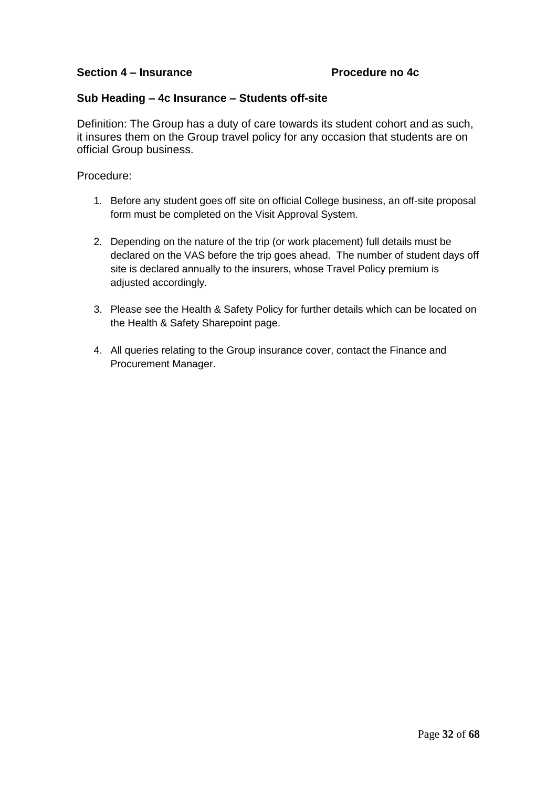# Section 4 – **Insurance** Procedure no 4c

### **Sub Heading – 4c Insurance – Students off-site**

Definition: The Group has a duty of care towards its student cohort and as such, it insures them on the Group travel policy for any occasion that students are on official Group business.

- 1. Before any student goes off site on official College business, an off-site proposal form must be completed on the Visit Approval System.
- 2. Depending on the nature of the trip (or work placement) full details must be declared on the VAS before the trip goes ahead. The number of student days off site is declared annually to the insurers, whose Travel Policy premium is adjusted accordingly.
- 3. Please see the Health & Safety Policy for further details which can be located on the Health & Safety Sharepoint page.
- 4. All queries relating to the Group insurance cover, contact the Finance and Procurement Manager.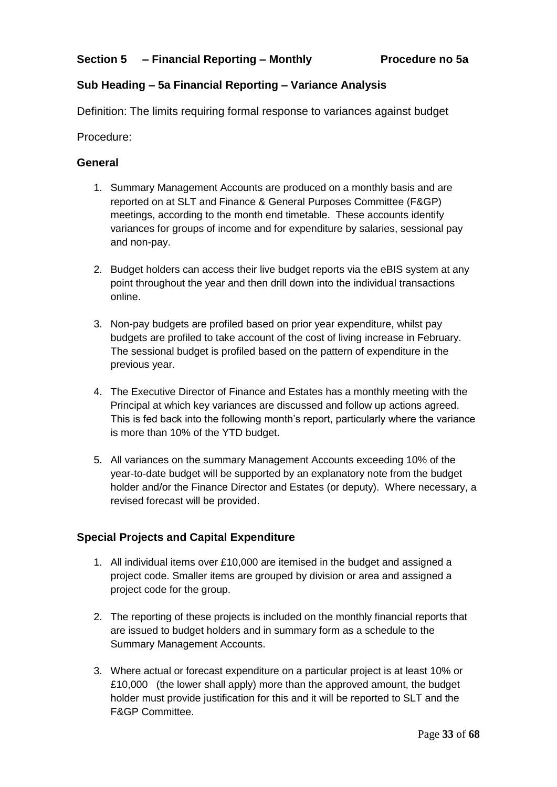# **Sub Heading – 5a Financial Reporting – Variance Analysis**

Definition: The limits requiring formal response to variances against budget

Procedure:

# **General**

- 1. Summary Management Accounts are produced on a monthly basis and are reported on at SLT and Finance & General Purposes Committee (F&GP) meetings, according to the month end timetable. These accounts identify variances for groups of income and for expenditure by salaries, sessional pay and non-pay.
- 2. Budget holders can access their live budget reports via the eBIS system at any point throughout the year and then drill down into the individual transactions online.
- 3. Non-pay budgets are profiled based on prior year expenditure, whilst pay budgets are profiled to take account of the cost of living increase in February. The sessional budget is profiled based on the pattern of expenditure in the previous year.
- 4. The Executive Director of Finance and Estates has a monthly meeting with the Principal at which key variances are discussed and follow up actions agreed. This is fed back into the following month's report, particularly where the variance is more than 10% of the YTD budget.
- 5. All variances on the summary Management Accounts exceeding 10% of the year-to-date budget will be supported by an explanatory note from the budget holder and/or the Finance Director and Estates (or deputy). Where necessary, a revised forecast will be provided.

# **Special Projects and Capital Expenditure**

- 1. All individual items over £10,000 are itemised in the budget and assigned a project code. Smaller items are grouped by division or area and assigned a project code for the group.
- 2. The reporting of these projects is included on the monthly financial reports that are issued to budget holders and in summary form as a schedule to the Summary Management Accounts.
- 3. Where actual or forecast expenditure on a particular project is at least 10% or £10,000 (the lower shall apply) more than the approved amount, the budget holder must provide justification for this and it will be reported to SLT and the F&GP Committee.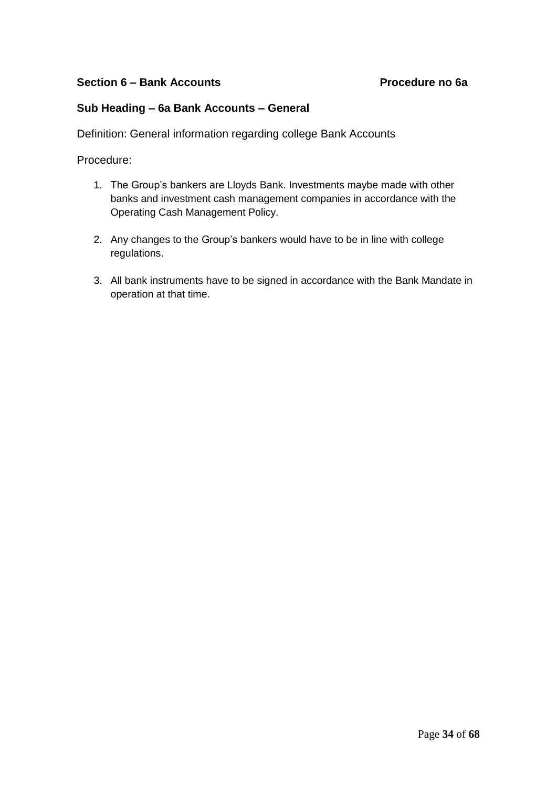# **Section 6 – Bank Accounts Procedure no 6a**

# **Sub Heading – 6a Bank Accounts – General**

Definition: General information regarding college Bank Accounts

- 1. The Group's bankers are Lloyds Bank. Investments maybe made with other banks and investment cash management companies in accordance with the Operating Cash Management Policy.
- 2. Any changes to the Group's bankers would have to be in line with college regulations.
- 3. All bank instruments have to be signed in accordance with the Bank Mandate in operation at that time.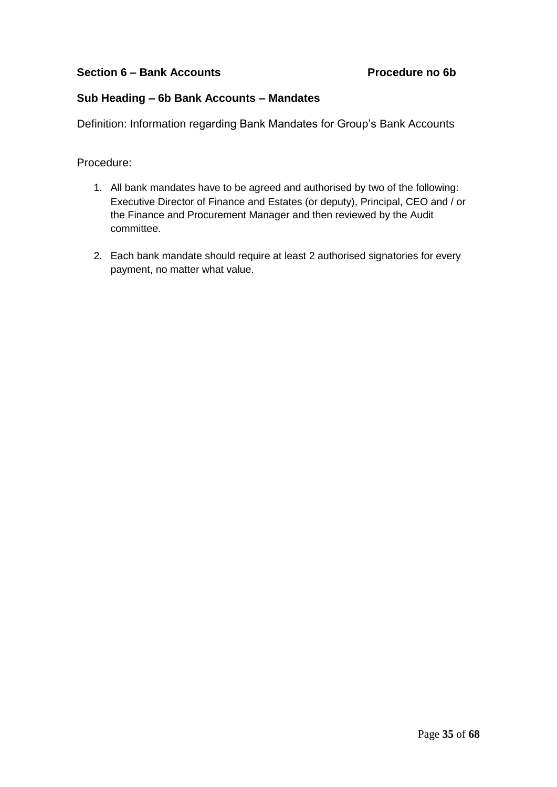# Section 6 – Bank Accounts **Procedure no 6b**

# **Sub Heading – 6b Bank Accounts – Mandates**

Definition: Information regarding Bank Mandates for Group's Bank Accounts

- 1. All bank mandates have to be agreed and authorised by two of the following: Executive Director of Finance and Estates (or deputy), Principal, CEO and / or the Finance and Procurement Manager and then reviewed by the Audit committee.
- 2. Each bank mandate should require at least 2 authorised signatories for every payment, no matter what value.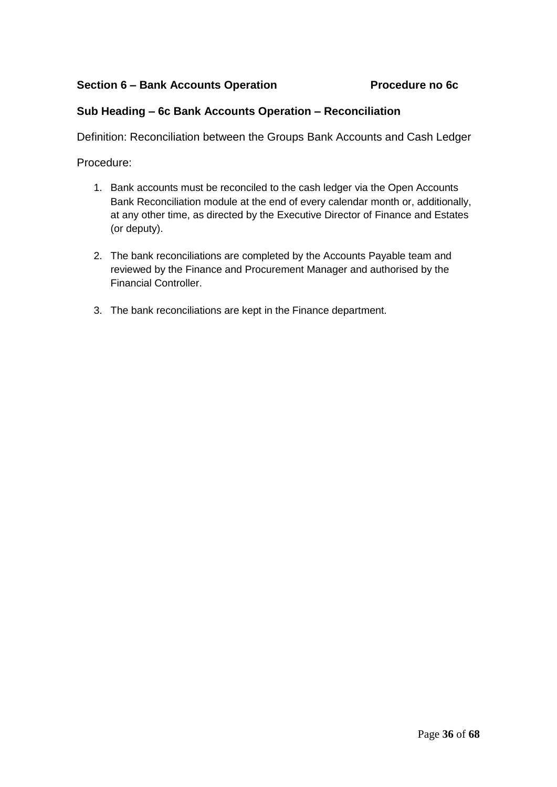# Section 6 – Bank Accounts Operation **Procedure no 6c**

# **Sub Heading – 6c Bank Accounts Operation – Reconciliation**

Definition: Reconciliation between the Groups Bank Accounts and Cash Ledger

- 1. Bank accounts must be reconciled to the cash ledger via the Open Accounts Bank Reconciliation module at the end of every calendar month or, additionally, at any other time, as directed by the Executive Director of Finance and Estates (or deputy).
- 2. The bank reconciliations are completed by the Accounts Payable team and reviewed by the Finance and Procurement Manager and authorised by the Financial Controller.
- 3. The bank reconciliations are kept in the Finance department.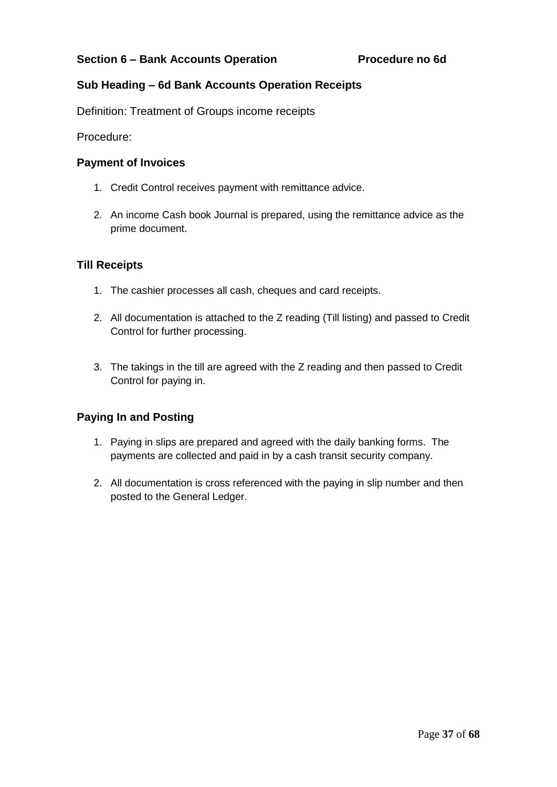# **Sub Heading – 6d Bank Accounts Operation Receipts**

Definition: Treatment of Groups income receipts

Procedure:

# **Payment of Invoices**

- 1. Credit Control receives payment with remittance advice.
- 2. An income Cash book Journal is prepared, using the remittance advice as the prime document.

# **Till Receipts**

- 1. The cashier processes all cash, cheques and card receipts.
- 2. All documentation is attached to the Z reading (Till listing) and passed to Credit Control for further processing.
- 3. The takings in the till are agreed with the Z reading and then passed to Credit Control for paying in.

# **Paying In and Posting**

- 1. Paying in slips are prepared and agreed with the daily banking forms. The payments are collected and paid in by a cash transit security company.
- 2. All documentation is cross referenced with the paying in slip number and then posted to the General Ledger.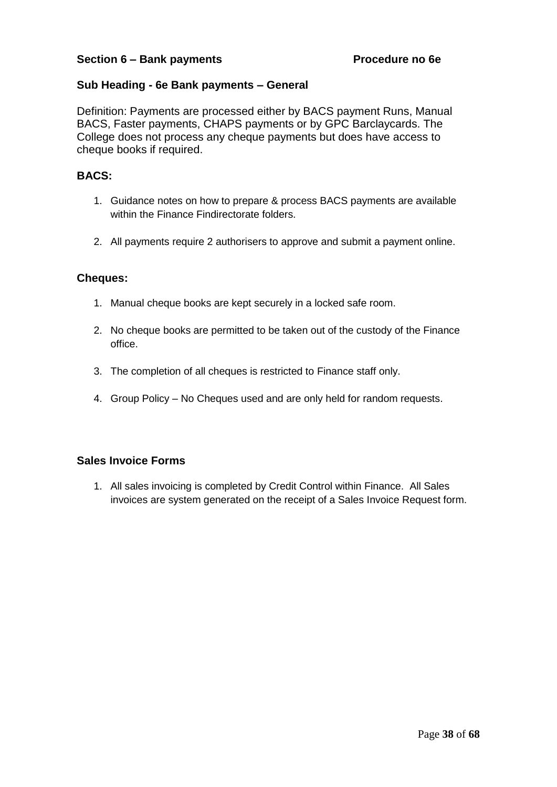# **Sub Heading - 6e Bank payments – General**

Definition: Payments are processed either by BACS payment Runs, Manual BACS, Faster payments, CHAPS payments or by GPC Barclaycards. The College does not process any cheque payments but does have access to cheque books if required.

### **BACS:**

- 1. Guidance notes on how to prepare & process BACS payments are available within the Finance Findirectorate folders.
- 2. All payments require 2 authorisers to approve and submit a payment online.

#### **Cheques:**

- 1. Manual cheque books are kept securely in a locked safe room.
- 2. No cheque books are permitted to be taken out of the custody of the Finance office.
- 3. The completion of all cheques is restricted to Finance staff only.
- 4. Group Policy No Cheques used and are only held for random requests.

# **Sales Invoice Forms**

1. All sales invoicing is completed by Credit Control within Finance. All Sales invoices are system generated on the receipt of a Sales Invoice Request form.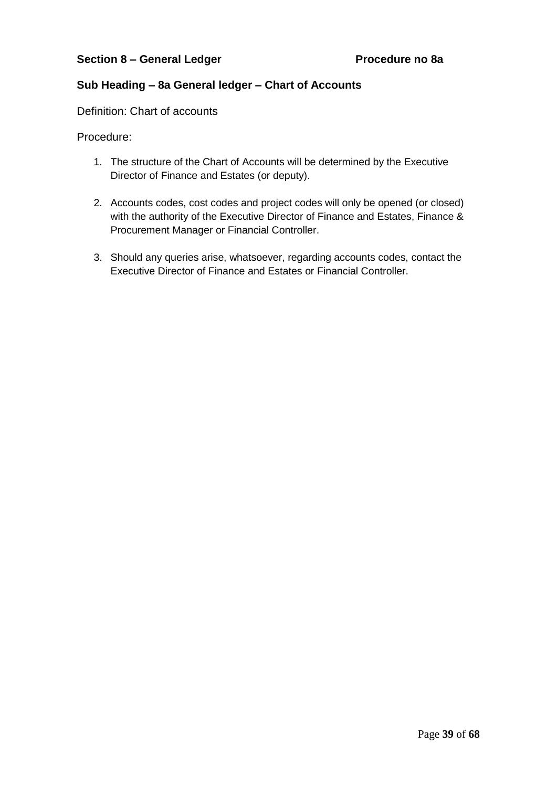# **Sub Heading – 8a General ledger – Chart of Accounts**

Definition: Chart of accounts

- 1. The structure of the Chart of Accounts will be determined by the Executive Director of Finance and Estates (or deputy).
- 2. Accounts codes, cost codes and project codes will only be opened (or closed) with the authority of the Executive Director of Finance and Estates, Finance & Procurement Manager or Financial Controller.
- 3. Should any queries arise, whatsoever, regarding accounts codes, contact the Executive Director of Finance and Estates or Financial Controller.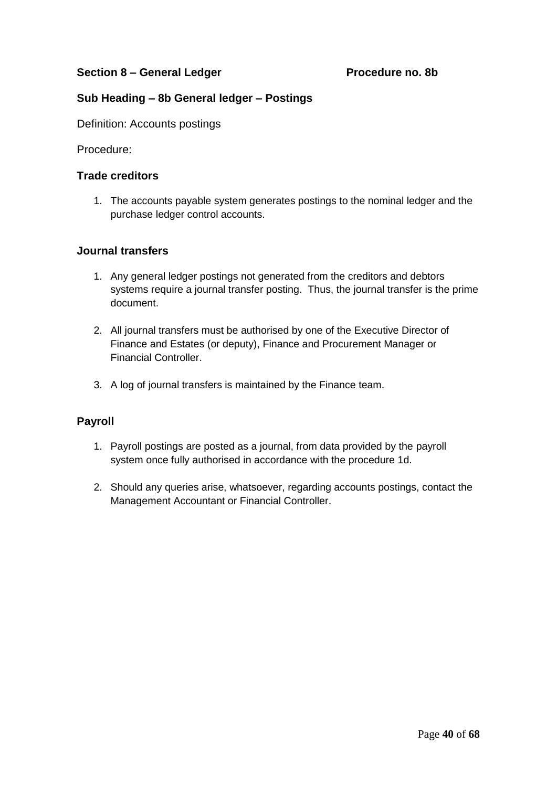# **Section 8 – General Ledger Procedure no. 8b**

# **Sub Heading – 8b General ledger – Postings**

Definition: Accounts postings

Procedure:

#### **Trade creditors**

1. The accounts payable system generates postings to the nominal ledger and the purchase ledger control accounts.

# **Journal transfers**

- 1. Any general ledger postings not generated from the creditors and debtors systems require a journal transfer posting. Thus, the journal transfer is the prime document.
- 2. All journal transfers must be authorised by one of the Executive Director of Finance and Estates (or deputy), Finance and Procurement Manager or Financial Controller.
- 3. A log of journal transfers is maintained by the Finance team.

# **Payroll**

- 1. Payroll postings are posted as a journal, from data provided by the payroll system once fully authorised in accordance with the procedure 1d.
- 2. Should any queries arise, whatsoever, regarding accounts postings, contact the Management Accountant or Financial Controller.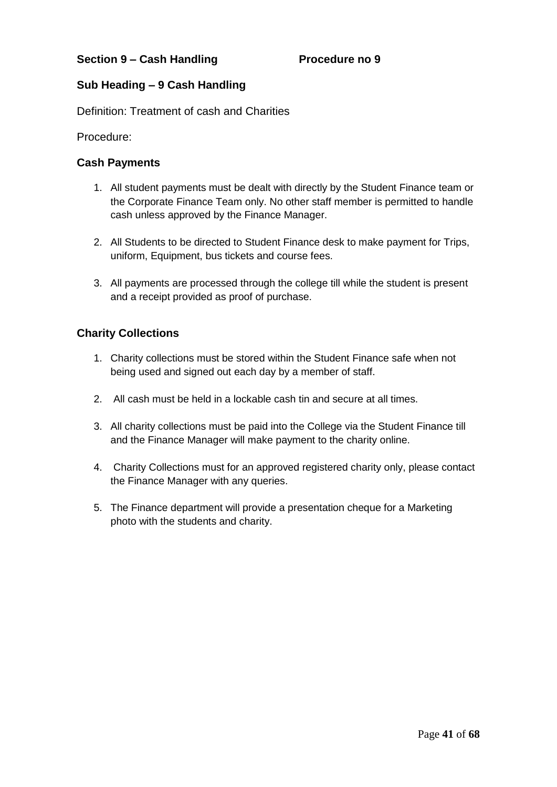# **Sub Heading – 9 Cash Handling**

Definition: Treatment of cash and Charities

Procedure:

# **Cash Payments**

- 1. All student payments must be dealt with directly by the Student Finance team or the Corporate Finance Team only. No other staff member is permitted to handle cash unless approved by the Finance Manager.
- 2. All Students to be directed to Student Finance desk to make payment for Trips, uniform, Equipment, bus tickets and course fees.
- 3. All payments are processed through the college till while the student is present and a receipt provided as proof of purchase.

# **Charity Collections**

- 1. Charity collections must be stored within the Student Finance safe when not being used and signed out each day by a member of staff.
- 2. All cash must be held in a lockable cash tin and secure at all times.
- 3. All charity collections must be paid into the College via the Student Finance till and the Finance Manager will make payment to the charity online.
- 4. Charity Collections must for an approved registered charity only, please contact the Finance Manager with any queries.
- 5. The Finance department will provide a presentation cheque for a Marketing photo with the students and charity.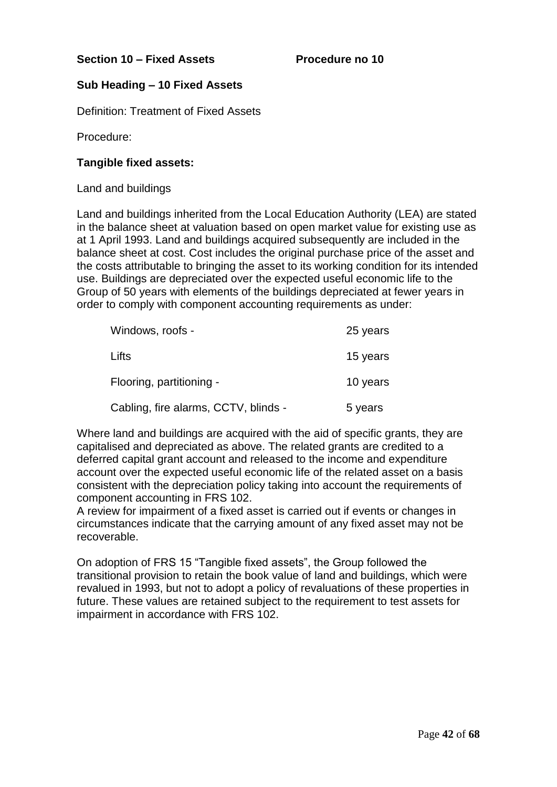# **Sub Heading – 10 Fixed Assets**

Definition: Treatment of Fixed Assets

Procedure:

# **Tangible fixed assets:**

Land and buildings

Land and buildings inherited from the Local Education Authority (LEA) are stated in the balance sheet at valuation based on open market value for existing use as at 1 April 1993. Land and buildings acquired subsequently are included in the balance sheet at cost. Cost includes the original purchase price of the asset and the costs attributable to bringing the asset to its working condition for its intended use. Buildings are depreciated over the expected useful economic life to the Group of 50 years with elements of the buildings depreciated at fewer years in order to comply with component accounting requirements as under:

| Windows, roofs -                     | 25 years |
|--------------------------------------|----------|
| Lifts                                | 15 years |
| Flooring, partitioning -             | 10 years |
| Cabling, fire alarms, CCTV, blinds - | 5 years  |

Where land and buildings are acquired with the aid of specific grants, they are capitalised and depreciated as above. The related grants are credited to a deferred capital grant account and released to the income and expenditure account over the expected useful economic life of the related asset on a basis consistent with the depreciation policy taking into account the requirements of component accounting in FRS 102.

A review for impairment of a fixed asset is carried out if events or changes in circumstances indicate that the carrying amount of any fixed asset may not be recoverable.

On adoption of FRS 15 "Tangible fixed assets", the Group followed the transitional provision to retain the book value of land and buildings, which were revalued in 1993, but not to adopt a policy of revaluations of these properties in future. These values are retained subject to the requirement to test assets for impairment in accordance with FRS 102.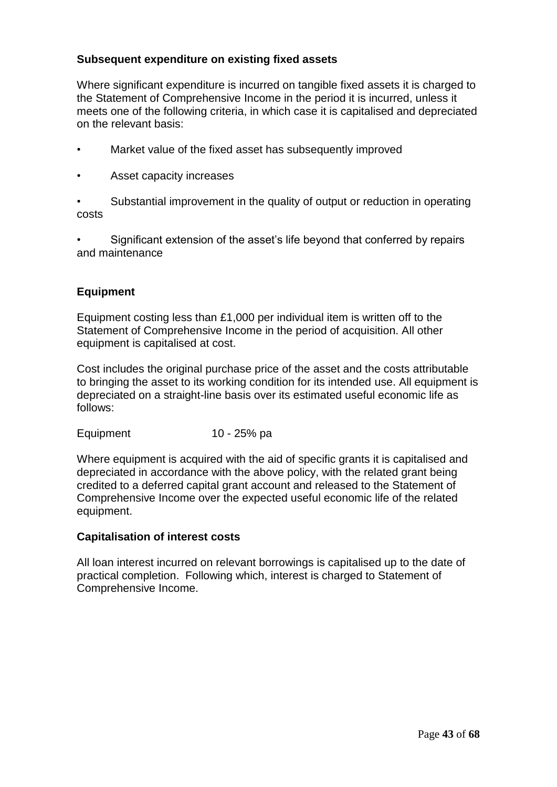# **Subsequent expenditure on existing fixed assets**

Where significant expenditure is incurred on tangible fixed assets it is charged to the Statement of Comprehensive Income in the period it is incurred, unless it meets one of the following criteria, in which case it is capitalised and depreciated on the relevant basis:

- Market value of the fixed asset has subsequently improved
- Asset capacity increases

• Substantial improvement in the quality of output or reduction in operating costs

• Significant extension of the asset's life beyond that conferred by repairs and maintenance

# **Equipment**

Equipment costing less than £1,000 per individual item is written off to the Statement of Comprehensive Income in the period of acquisition. All other equipment is capitalised at cost.

Cost includes the original purchase price of the asset and the costs attributable to bringing the asset to its working condition for its intended use. All equipment is depreciated on a straight-line basis over its estimated useful economic life as follows:

Equipment 10 - 25% pa

Where equipment is acquired with the aid of specific grants it is capitalised and depreciated in accordance with the above policy, with the related grant being credited to a deferred capital grant account and released to the Statement of Comprehensive Income over the expected useful economic life of the related equipment.

# **Capitalisation of interest costs**

All loan interest incurred on relevant borrowings is capitalised up to the date of practical completion. Following which, interest is charged to Statement of Comprehensive Income.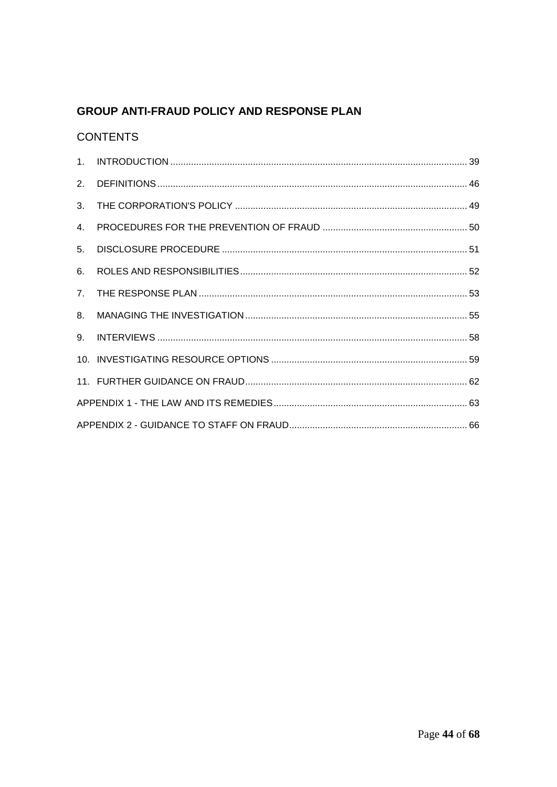# **GROUP ANTI-FRAUD POLICY AND RESPONSE PLAN**

# **CONTENTS**

| $\mathcal{P}$  |  |  |  |
|----------------|--|--|--|
| 3.             |  |  |  |
| 4.             |  |  |  |
| 5 <sub>1</sub> |  |  |  |
| 6.             |  |  |  |
| 7 <sub>1</sub> |  |  |  |
| $8_{-}$        |  |  |  |
|                |  |  |  |
|                |  |  |  |
|                |  |  |  |
|                |  |  |  |
|                |  |  |  |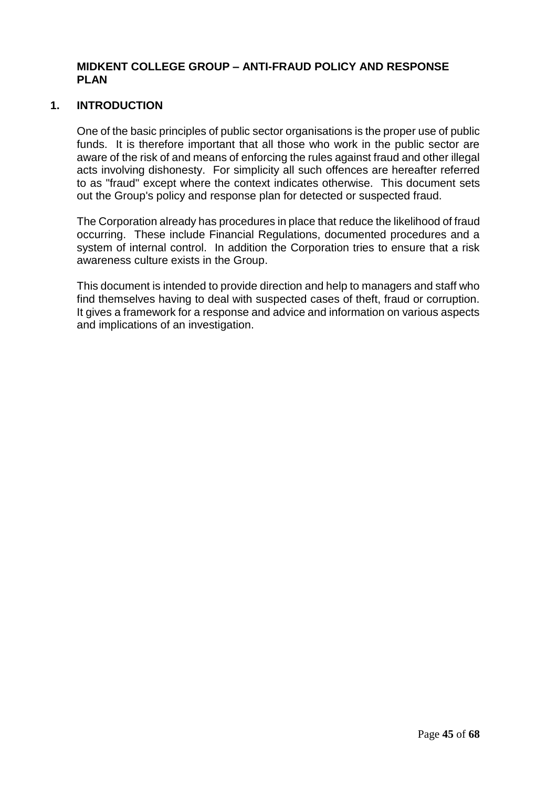# **MIDKENT COLLEGE GROUP – ANTI-FRAUD POLICY AND RESPONSE PLAN**

# <span id="page-44-0"></span>**1. INTRODUCTION**

One of the basic principles of public sector organisations is the proper use of public funds. It is therefore important that all those who work in the public sector are aware of the risk of and means of enforcing the rules against fraud and other illegal acts involving dishonesty. For simplicity all such offences are hereafter referred to as "fraud" except where the context indicates otherwise. This document sets out the Group's policy and response plan for detected or suspected fraud.

The Corporation already has procedures in place that reduce the likelihood of fraud occurring. These include Financial Regulations, documented procedures and a system of internal control. In addition the Corporation tries to ensure that a risk awareness culture exists in the Group.

This document is intended to provide direction and help to managers and staff who find themselves having to deal with suspected cases of theft, fraud or corruption. It gives a framework for a response and advice and information on various aspects and implications of an investigation.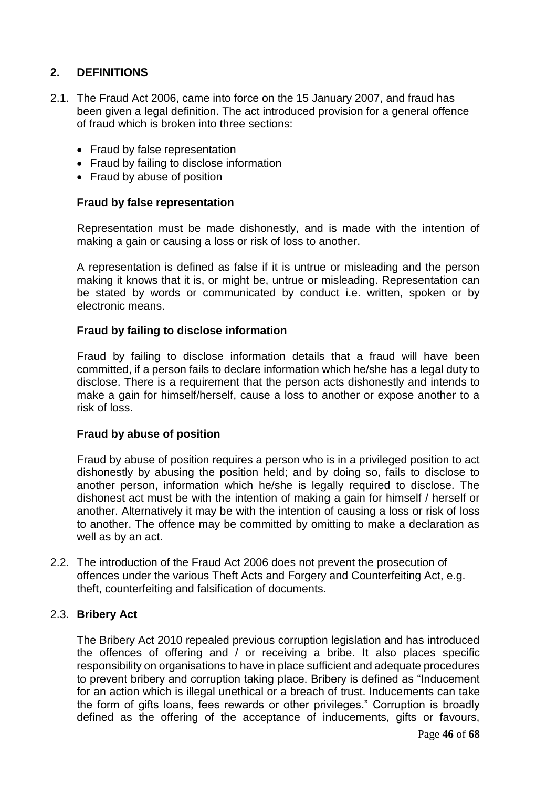# <span id="page-45-0"></span>**2. DEFINITIONS**

- 2.1. The Fraud Act 2006, came into force on the 15 January 2007, and fraud has been given a legal definition. The act introduced provision for a general offence of fraud which is broken into three sections:
	- Fraud by false representation
	- Fraud by failing to disclose information
	- Fraud by abuse of position

### **Fraud by false representation**

Representation must be made dishonestly, and is made with the intention of making a gain or causing a loss or risk of loss to another.

A representation is defined as false if it is untrue or misleading and the person making it knows that it is, or might be, untrue or misleading. Representation can be stated by words or communicated by conduct i.e. written, spoken or by electronic means.

#### **Fraud by failing to disclose information**

Fraud by failing to disclose information details that a fraud will have been committed, if a person fails to declare information which he/she has a legal duty to disclose. There is a requirement that the person acts dishonestly and intends to make a gain for himself/herself, cause a loss to another or expose another to a risk of loss.

#### **Fraud by abuse of position**

Fraud by abuse of position requires a person who is in a privileged position to act dishonestly by abusing the position held; and by doing so, fails to disclose to another person, information which he/she is legally required to disclose. The dishonest act must be with the intention of making a gain for himself / herself or another. Alternatively it may be with the intention of causing a loss or risk of loss to another. The offence may be committed by omitting to make a declaration as well as by an act.

2.2. The introduction of the Fraud Act 2006 does not prevent the prosecution of offences under the various Theft Acts and Forgery and Counterfeiting Act, e.g. theft, counterfeiting and falsification of documents.

# 2.3. **Bribery Act**

The Bribery Act 2010 repealed previous corruption legislation and has introduced the offences of offering and / or receiving a bribe. It also places specific responsibility on organisations to have in place sufficient and adequate procedures to prevent bribery and corruption taking place. Bribery is defined as "Inducement for an action which is illegal unethical or a breach of trust. Inducements can take the form of gifts loans, fees rewards or other privileges." Corruption is broadly defined as the offering of the acceptance of inducements, gifts or favours,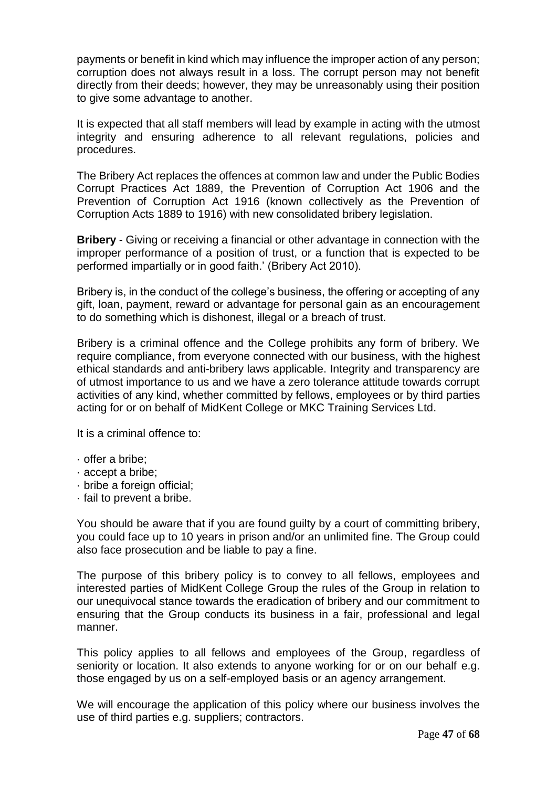payments or benefit in kind which may influence the improper action of any person; corruption does not always result in a loss. The corrupt person may not benefit directly from their deeds; however, they may be unreasonably using their position to give some advantage to another.

It is expected that all staff members will lead by example in acting with the utmost integrity and ensuring adherence to all relevant regulations, policies and procedures.

The Bribery Act replaces the offences at common law and under the Public Bodies Corrupt Practices Act 1889, the Prevention of Corruption Act 1906 and the Prevention of Corruption Act 1916 (known collectively as the Prevention of Corruption Acts 1889 to 1916) with new consolidated bribery legislation.

**Bribery** - Giving or receiving a financial or other advantage in connection with the improper performance of a position of trust, or a function that is expected to be performed impartially or in good faith.' (Bribery Act 2010).

Bribery is, in the conduct of the college's business, the offering or accepting of any gift, loan, payment, reward or advantage for personal gain as an encouragement to do something which is dishonest, illegal or a breach of trust.

Bribery is a criminal offence and the College prohibits any form of bribery. We require compliance, from everyone connected with our business, with the highest ethical standards and anti-bribery laws applicable. Integrity and transparency are of utmost importance to us and we have a zero tolerance attitude towards corrupt activities of any kind, whether committed by fellows, employees or by third parties acting for or on behalf of MidKent College or MKC Training Services Ltd.

It is a criminal offence to:

- · offer a bribe;
- · accept a bribe;
- · bribe a foreign official;
- · fail to prevent a bribe.

You should be aware that if you are found guilty by a court of committing bribery, you could face up to 10 years in prison and/or an unlimited fine. The Group could also face prosecution and be liable to pay a fine.

The purpose of this bribery policy is to convey to all fellows, employees and interested parties of MidKent College Group the rules of the Group in relation to our unequivocal stance towards the eradication of bribery and our commitment to ensuring that the Group conducts its business in a fair, professional and legal manner.

This policy applies to all fellows and employees of the Group, regardless of seniority or location. It also extends to anyone working for or on our behalf e.g. those engaged by us on a self-employed basis or an agency arrangement.

We will encourage the application of this policy where our business involves the use of third parties e.g. suppliers; contractors.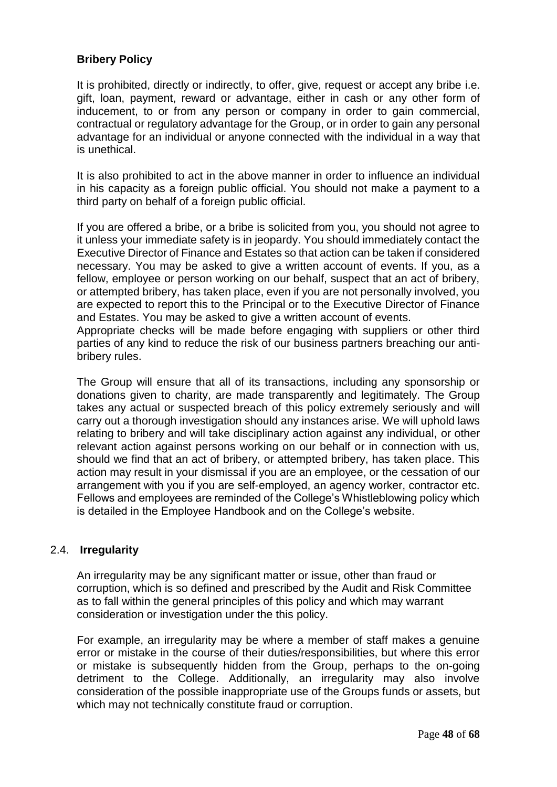# **Bribery Policy**

It is prohibited, directly or indirectly, to offer, give, request or accept any bribe i.e. gift, loan, payment, reward or advantage, either in cash or any other form of inducement, to or from any person or company in order to gain commercial, contractual or regulatory advantage for the Group, or in order to gain any personal advantage for an individual or anyone connected with the individual in a way that is unethical.

It is also prohibited to act in the above manner in order to influence an individual in his capacity as a foreign public official. You should not make a payment to a third party on behalf of a foreign public official.

If you are offered a bribe, or a bribe is solicited from you, you should not agree to it unless your immediate safety is in jeopardy. You should immediately contact the Executive Director of Finance and Estates so that action can be taken if considered necessary. You may be asked to give a written account of events. If you, as a fellow, employee or person working on our behalf, suspect that an act of bribery, or attempted bribery, has taken place, even if you are not personally involved, you are expected to report this to the Principal or to the Executive Director of Finance and Estates. You may be asked to give a written account of events.

Appropriate checks will be made before engaging with suppliers or other third parties of any kind to reduce the risk of our business partners breaching our antibribery rules.

The Group will ensure that all of its transactions, including any sponsorship or donations given to charity, are made transparently and legitimately. The Group takes any actual or suspected breach of this policy extremely seriously and will carry out a thorough investigation should any instances arise. We will uphold laws relating to bribery and will take disciplinary action against any individual, or other relevant action against persons working on our behalf or in connection with us, should we find that an act of bribery, or attempted bribery, has taken place. This action may result in your dismissal if you are an employee, or the cessation of our arrangement with you if you are self-employed, an agency worker, contractor etc. Fellows and employees are reminded of the College's Whistleblowing policy which is detailed in the Employee Handbook and on the College's website.

# 2.4. **Irregularity**

An irregularity may be any significant matter or issue, other than fraud or corruption, which is so defined and prescribed by the Audit and Risk Committee as to fall within the general principles of this policy and which may warrant consideration or investigation under the this policy.

For example, an irregularity may be where a member of staff makes a genuine error or mistake in the course of their duties/responsibilities, but where this error or mistake is subsequently hidden from the Group, perhaps to the on-going detriment to the College. Additionally, an irregularity may also involve consideration of the possible inappropriate use of the Groups funds or assets, but which may not technically constitute fraud or corruption.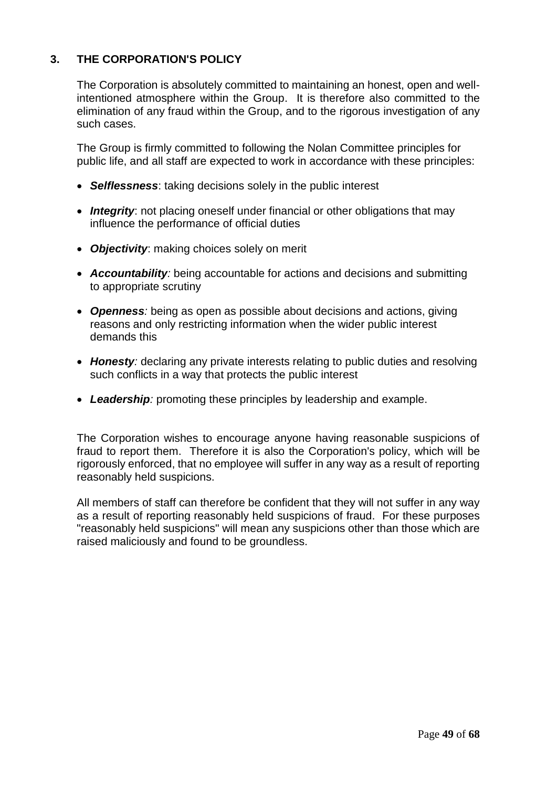# <span id="page-48-0"></span>**3. THE CORPORATION'S POLICY**

The Corporation is absolutely committed to maintaining an honest, open and wellintentioned atmosphere within the Group. It is therefore also committed to the elimination of any fraud within the Group, and to the rigorous investigation of any such cases.

The Group is firmly committed to following the Nolan Committee principles for public life, and all staff are expected to work in accordance with these principles:

- *Selflessness*: taking decisions solely in the public interest
- *Integrity*: not placing oneself under financial or other obligations that may influence the performance of official duties
- *Objectivity*: making choices solely on merit
- *Accountability:* being accountable for actions and decisions and submitting to appropriate scrutiny
- *Openness:* being as open as possible about decisions and actions, giving reasons and only restricting information when the wider public interest demands this
- *Honesty:* declaring any private interests relating to public duties and resolving such conflicts in a way that protects the public interest
- *Leadership:* promoting these principles by leadership and example.

The Corporation wishes to encourage anyone having reasonable suspicions of fraud to report them. Therefore it is also the Corporation's policy, which will be rigorously enforced, that no employee will suffer in any way as a result of reporting reasonably held suspicions.

All members of staff can therefore be confident that they will not suffer in any way as a result of reporting reasonably held suspicions of fraud. For these purposes "reasonably held suspicions" will mean any suspicions other than those which are raised maliciously and found to be groundless.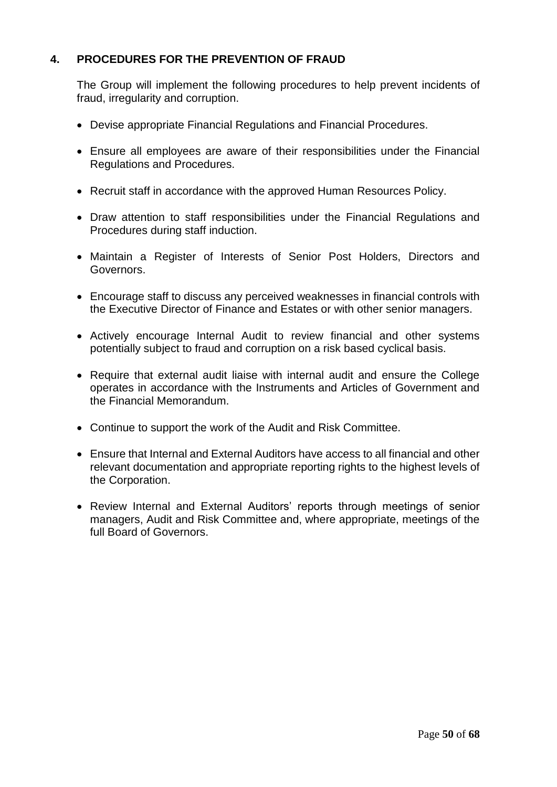# <span id="page-49-0"></span>**4. PROCEDURES FOR THE PREVENTION OF FRAUD**

The Group will implement the following procedures to help prevent incidents of fraud, irregularity and corruption.

- Devise appropriate Financial Regulations and Financial Procedures.
- Ensure all employees are aware of their responsibilities under the Financial Regulations and Procedures.
- Recruit staff in accordance with the approved Human Resources Policy.
- Draw attention to staff responsibilities under the Financial Regulations and Procedures during staff induction.
- Maintain a Register of Interests of Senior Post Holders, Directors and Governors.
- Encourage staff to discuss any perceived weaknesses in financial controls with the Executive Director of Finance and Estates or with other senior managers.
- Actively encourage Internal Audit to review financial and other systems potentially subject to fraud and corruption on a risk based cyclical basis.
- Require that external audit liaise with internal audit and ensure the College operates in accordance with the Instruments and Articles of Government and the Financial Memorandum.
- Continue to support the work of the Audit and Risk Committee.
- Ensure that Internal and External Auditors have access to all financial and other relevant documentation and appropriate reporting rights to the highest levels of the Corporation.
- Review Internal and External Auditors' reports through meetings of senior managers, Audit and Risk Committee and, where appropriate, meetings of the full Board of Governors.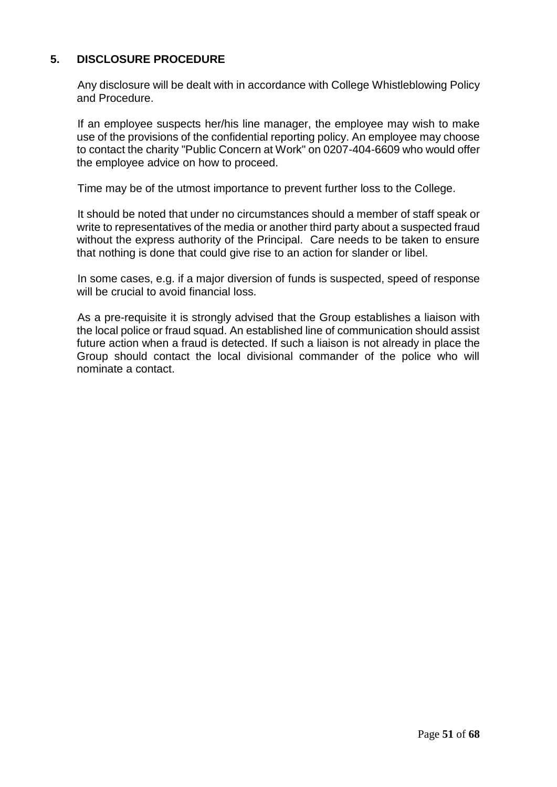# <span id="page-50-0"></span>**5. DISCLOSURE PROCEDURE**

Any disclosure will be dealt with in accordance with College Whistleblowing Policy and Procedure.

If an employee suspects her/his line manager, the employee may wish to make use of the provisions of the confidential reporting policy. An employee may choose to contact the charity "Public Concern at Work" on 0207-404-6609 who would offer the employee advice on how to proceed.

Time may be of the utmost importance to prevent further loss to the College.

It should be noted that under no circumstances should a member of staff speak or write to representatives of the media or another third party about a suspected fraud without the express authority of the Principal. Care needs to be taken to ensure that nothing is done that could give rise to an action for slander or libel.

In some cases, e.g. if a major diversion of funds is suspected, speed of response will be crucial to avoid financial loss.

As a pre-requisite it is strongly advised that the Group establishes a liaison with the local police or fraud squad. An established line of communication should assist future action when a fraud is detected. If such a liaison is not already in place the Group should contact the local divisional commander of the police who will nominate a contact.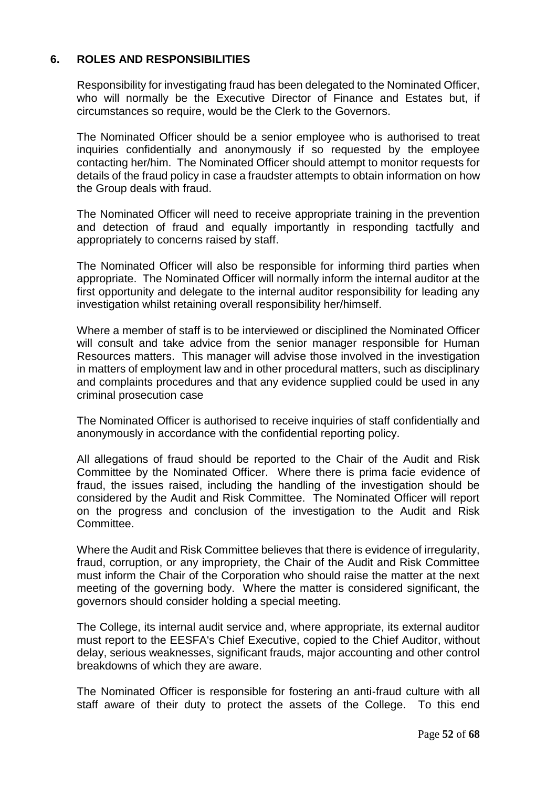# <span id="page-51-0"></span>**6. ROLES AND RESPONSIBILITIES**

Responsibility for investigating fraud has been delegated to the Nominated Officer, who will normally be the Executive Director of Finance and Estates but, if circumstances so require, would be the Clerk to the Governors.

The Nominated Officer should be a senior employee who is authorised to treat inquiries confidentially and anonymously if so requested by the employee contacting her/him. The Nominated Officer should attempt to monitor requests for details of the fraud policy in case a fraudster attempts to obtain information on how the Group deals with fraud.

The Nominated Officer will need to receive appropriate training in the prevention and detection of fraud and equally importantly in responding tactfully and appropriately to concerns raised by staff.

The Nominated Officer will also be responsible for informing third parties when appropriate. The Nominated Officer will normally inform the internal auditor at the first opportunity and delegate to the internal auditor responsibility for leading any investigation whilst retaining overall responsibility her/himself.

Where a member of staff is to be interviewed or disciplined the Nominated Officer will consult and take advice from the senior manager responsible for Human Resources matters. This manager will advise those involved in the investigation in matters of employment law and in other procedural matters, such as disciplinary and complaints procedures and that any evidence supplied could be used in any criminal prosecution case

The Nominated Officer is authorised to receive inquiries of staff confidentially and anonymously in accordance with the confidential reporting policy.

All allegations of fraud should be reported to the Chair of the Audit and Risk Committee by the Nominated Officer. Where there is prima facie evidence of fraud, the issues raised, including the handling of the investigation should be considered by the Audit and Risk Committee. The Nominated Officer will report on the progress and conclusion of the investigation to the Audit and Risk Committee.

Where the Audit and Risk Committee believes that there is evidence of irregularity, fraud, corruption, or any impropriety, the Chair of the Audit and Risk Committee must inform the Chair of the Corporation who should raise the matter at the next meeting of the governing body. Where the matter is considered significant, the governors should consider holding a special meeting.

The College, its internal audit service and, where appropriate, its external auditor must report to the EESFA's Chief Executive, copied to the Chief Auditor, without delay, serious weaknesses, significant frauds, major accounting and other control breakdowns of which they are aware.

The Nominated Officer is responsible for fostering an anti-fraud culture with all staff aware of their duty to protect the assets of the College. To this end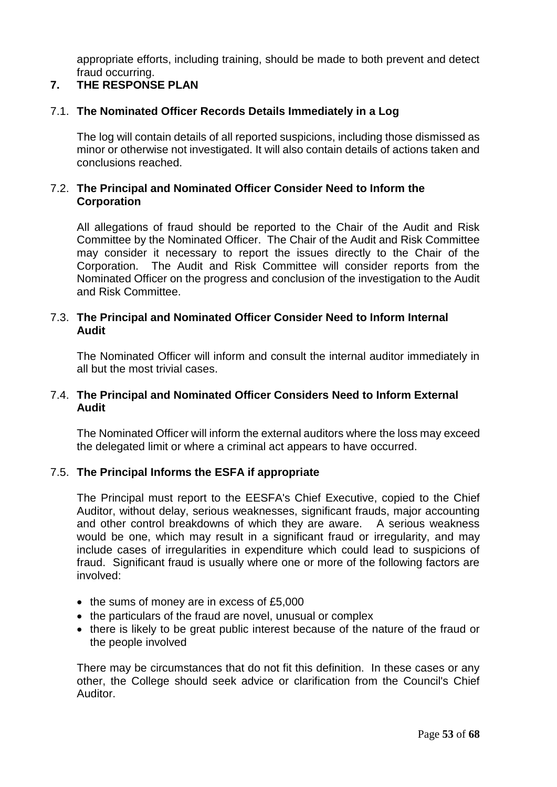appropriate efforts, including training, should be made to both prevent and detect fraud occurring.

# <span id="page-52-0"></span>**7. THE RESPONSE PLAN**

# 7.1. **The Nominated Officer Records Details Immediately in a Log**

The log will contain details of all reported suspicions, including those dismissed as minor or otherwise not investigated. It will also contain details of actions taken and conclusions reached.

# 7.2. **The Principal and Nominated Officer Consider Need to Inform the Corporation**

All allegations of fraud should be reported to the Chair of the Audit and Risk Committee by the Nominated Officer. The Chair of the Audit and Risk Committee may consider it necessary to report the issues directly to the Chair of the Corporation. The Audit and Risk Committee will consider reports from the Nominated Officer on the progress and conclusion of the investigation to the Audit and Risk Committee.

# 7.3. **The Principal and Nominated Officer Consider Need to Inform Internal Audit**

The Nominated Officer will inform and consult the internal auditor immediately in all but the most trivial cases.

# 7.4. **The Principal and Nominated Officer Considers Need to Inform External Audit**

The Nominated Officer will inform the external auditors where the loss may exceed the delegated limit or where a criminal act appears to have occurred.

# 7.5. **The Principal Informs the ESFA if appropriate**

The Principal must report to the EESFA's Chief Executive, copied to the Chief Auditor, without delay, serious weaknesses, significant frauds, major accounting and other control breakdowns of which they are aware. A serious weakness would be one, which may result in a significant fraud or irregularity, and may include cases of irregularities in expenditure which could lead to suspicions of fraud. Significant fraud is usually where one or more of the following factors are involved:

- $\bullet$  the sums of money are in excess of £5,000
- the particulars of the fraud are novel, unusual or complex
- there is likely to be great public interest because of the nature of the fraud or the people involved

There may be circumstances that do not fit this definition. In these cases or any other, the College should seek advice or clarification from the Council's Chief Auditor.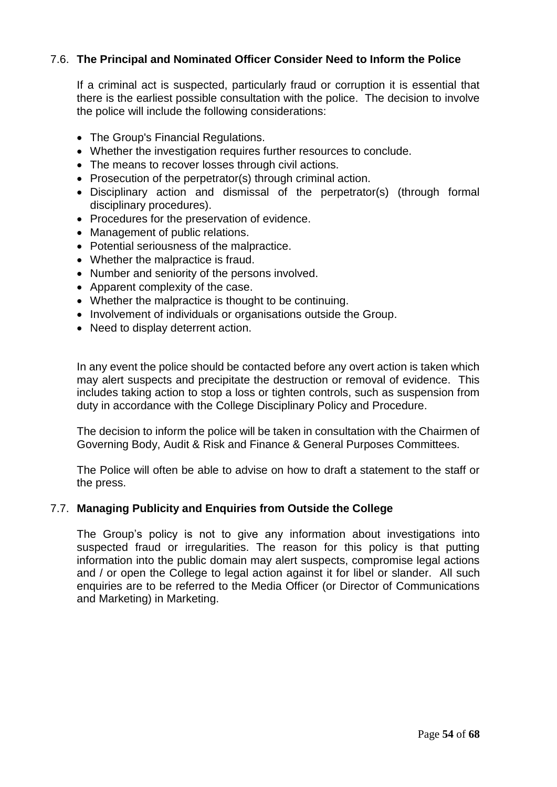# 7.6. **The Principal and Nominated Officer Consider Need to Inform the Police**

If a criminal act is suspected, particularly fraud or corruption it is essential that there is the earliest possible consultation with the police. The decision to involve the police will include the following considerations:

- The Group's Financial Regulations.
- Whether the investigation requires further resources to conclude.
- The means to recover losses through civil actions.
- Prosecution of the perpetrator(s) through criminal action.
- Disciplinary action and dismissal of the perpetrator(s) (through formal disciplinary procedures).
- Procedures for the preservation of evidence.
- Management of public relations.
- Potential seriousness of the malpractice.
- Whether the malpractice is fraud.
- Number and seniority of the persons involved.
- Apparent complexity of the case.
- Whether the malpractice is thought to be continuing.
- Involvement of individuals or organisations outside the Group.
- Need to display deterrent action.

In any event the police should be contacted before any overt action is taken which may alert suspects and precipitate the destruction or removal of evidence. This includes taking action to stop a loss or tighten controls, such as suspension from duty in accordance with the College Disciplinary Policy and Procedure.

The decision to inform the police will be taken in consultation with the Chairmen of Governing Body, Audit & Risk and Finance & General Purposes Committees.

The Police will often be able to advise on how to draft a statement to the staff or the press.

#### 7.7. **Managing Publicity and Enquiries from Outside the College**

The Group's policy is not to give any information about investigations into suspected fraud or irregularities. The reason for this policy is that putting information into the public domain may alert suspects, compromise legal actions and / or open the College to legal action against it for libel or slander. All such enquiries are to be referred to the Media Officer (or Director of Communications and Marketing) in Marketing.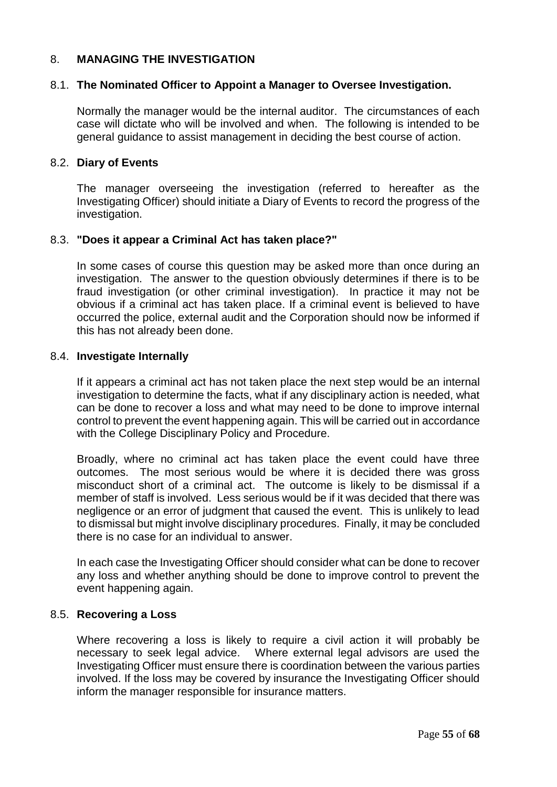# <span id="page-54-0"></span>8. **MANAGING THE INVESTIGATION**

# 8.1. **The Nominated Officer to Appoint a Manager to Oversee Investigation.**

Normally the manager would be the internal auditor. The circumstances of each case will dictate who will be involved and when. The following is intended to be general guidance to assist management in deciding the best course of action.

### 8.2. **Diary of Events**

The manager overseeing the investigation (referred to hereafter as the Investigating Officer) should initiate a Diary of Events to record the progress of the investigation.

### 8.3. **"Does it appear a Criminal Act has taken place?"**

In some cases of course this question may be asked more than once during an investigation. The answer to the question obviously determines if there is to be fraud investigation (or other criminal investigation). In practice it may not be obvious if a criminal act has taken place. If a criminal event is believed to have occurred the police, external audit and the Corporation should now be informed if this has not already been done.

### 8.4. **Investigate Internally**

If it appears a criminal act has not taken place the next step would be an internal investigation to determine the facts, what if any disciplinary action is needed, what can be done to recover a loss and what may need to be done to improve internal control to prevent the event happening again. This will be carried out in accordance with the College Disciplinary Policy and Procedure.

Broadly, where no criminal act has taken place the event could have three outcomes. The most serious would be where it is decided there was gross misconduct short of a criminal act. The outcome is likely to be dismissal if a member of staff is involved. Less serious would be if it was decided that there was negligence or an error of judgment that caused the event. This is unlikely to lead to dismissal but might involve disciplinary procedures. Finally, it may be concluded there is no case for an individual to answer.

In each case the Investigating Officer should consider what can be done to recover any loss and whether anything should be done to improve control to prevent the event happening again.

#### 8.5. **Recovering a Loss**

Where recovering a loss is likely to require a civil action it will probably be necessary to seek legal advice. Where external legal advisors are used the Investigating Officer must ensure there is coordination between the various parties involved. If the loss may be covered by insurance the Investigating Officer should inform the manager responsible for insurance matters.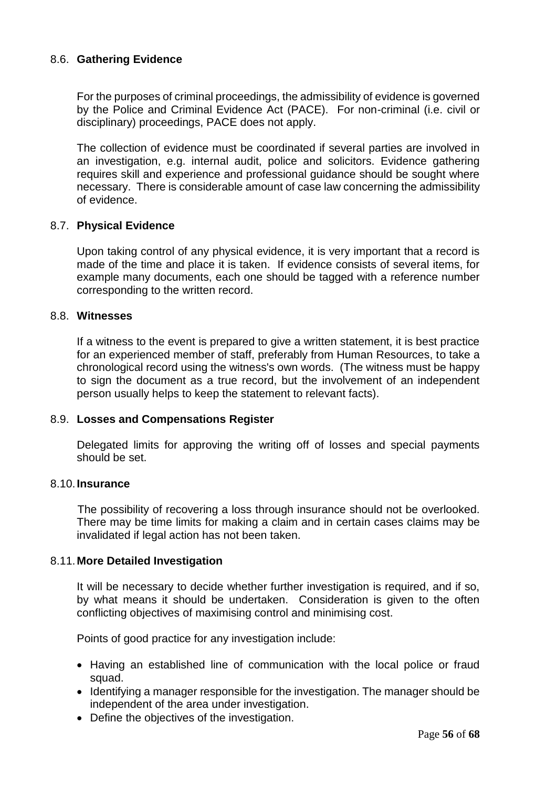# 8.6. **Gathering Evidence**

For the purposes of criminal proceedings, the admissibility of evidence is governed by the Police and Criminal Evidence Act (PACE). For non-criminal (i.e. civil or disciplinary) proceedings, PACE does not apply.

The collection of evidence must be coordinated if several parties are involved in an investigation, e.g. internal audit, police and solicitors. Evidence gathering requires skill and experience and professional guidance should be sought where necessary. There is considerable amount of case law concerning the admissibility of evidence.

### 8.7. **Physical Evidence**

Upon taking control of any physical evidence, it is very important that a record is made of the time and place it is taken. If evidence consists of several items, for example many documents, each one should be tagged with a reference number corresponding to the written record.

#### 8.8. **Witnesses**

If a witness to the event is prepared to give a written statement, it is best practice for an experienced member of staff, preferably from Human Resources, to take a chronological record using the witness's own words. (The witness must be happy to sign the document as a true record, but the involvement of an independent person usually helps to keep the statement to relevant facts).

#### 8.9. **Losses and Compensations Register**

Delegated limits for approving the writing off of losses and special payments should be set.

#### 8.10.**Insurance**

The possibility of recovering a loss through insurance should not be overlooked. There may be time limits for making a claim and in certain cases claims may be invalidated if legal action has not been taken.

#### 8.11.**More Detailed Investigation**

It will be necessary to decide whether further investigation is required, and if so, by what means it should be undertaken. Consideration is given to the often conflicting objectives of maximising control and minimising cost.

Points of good practice for any investigation include:

- Having an established line of communication with the local police or fraud squad.
- Identifying a manager responsible for the investigation. The manager should be independent of the area under investigation.
- Define the objectives of the investigation.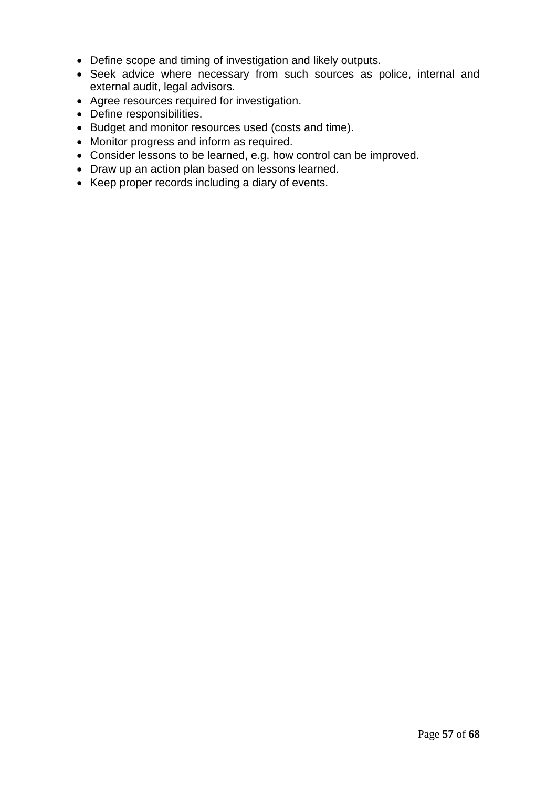- Define scope and timing of investigation and likely outputs.
- Seek advice where necessary from such sources as police, internal and external audit, legal advisors.
- Agree resources required for investigation.
- Define responsibilities.
- Budget and monitor resources used (costs and time).
- Monitor progress and inform as required.
- Consider lessons to be learned, e.g. how control can be improved.
- Draw up an action plan based on lessons learned.
- Keep proper records including a diary of events.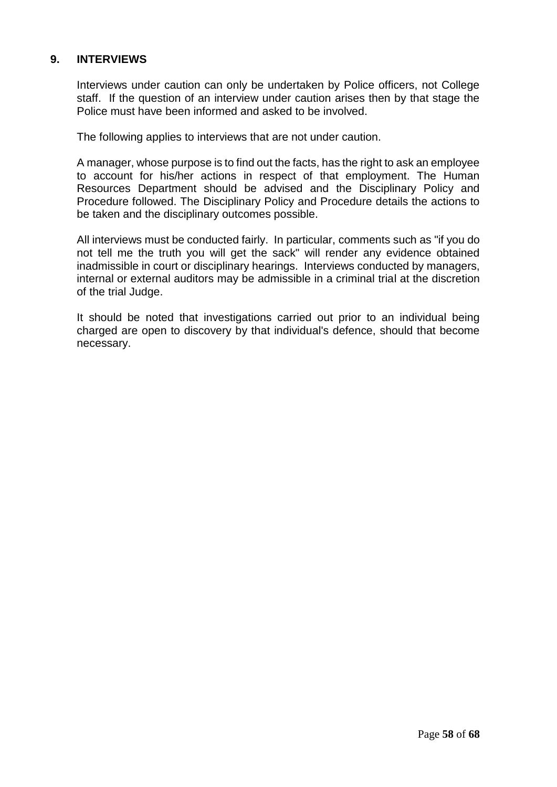# <span id="page-57-0"></span>**9. INTERVIEWS**

Interviews under caution can only be undertaken by Police officers, not College staff. If the question of an interview under caution arises then by that stage the Police must have been informed and asked to be involved.

The following applies to interviews that are not under caution.

A manager, whose purpose is to find out the facts, has the right to ask an employee to account for his/her actions in respect of that employment. The Human Resources Department should be advised and the Disciplinary Policy and Procedure followed. The Disciplinary Policy and Procedure details the actions to be taken and the disciplinary outcomes possible.

All interviews must be conducted fairly. In particular, comments such as "if you do not tell me the truth you will get the sack" will render any evidence obtained inadmissible in court or disciplinary hearings. Interviews conducted by managers, internal or external auditors may be admissible in a criminal trial at the discretion of the trial Judge.

It should be noted that investigations carried out prior to an individual being charged are open to discovery by that individual's defence, should that become necessary.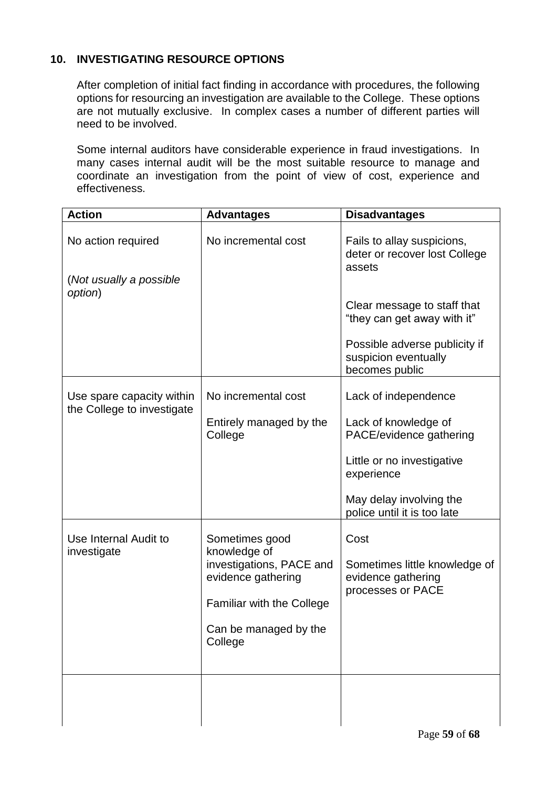# <span id="page-58-0"></span>**10. INVESTIGATING RESOURCE OPTIONS**

After completion of initial fact finding in accordance with procedures, the following options for resourcing an investigation are available to the College. These options are not mutually exclusive. In complex cases a number of different parties will need to be involved.

Some internal auditors have considerable experience in fraud investigations. In many cases internal audit will be the most suitable resource to manage and coordinate an investigation from the point of view of cost, experience and effectiveness.

| <b>Action</b>                                           | <b>Advantages</b>                              | <b>Disadvantages</b>                                                     |
|---------------------------------------------------------|------------------------------------------------|--------------------------------------------------------------------------|
| No action required                                      | No incremental cost                            | Fails to allay suspicions,<br>deter or recover lost College<br>assets    |
| (Not usually a possible<br>option)                      |                                                |                                                                          |
|                                                         |                                                | Clear message to staff that<br>"they can get away with it"               |
|                                                         |                                                | Possible adverse publicity if<br>suspicion eventually<br>becomes public  |
| Use spare capacity within<br>the College to investigate | No incremental cost                            | Lack of independence                                                     |
|                                                         | Entirely managed by the<br>College             | Lack of knowledge of<br>PACE/evidence gathering                          |
|                                                         |                                                | Little or no investigative<br>experience                                 |
|                                                         |                                                | May delay involving the<br>police until it is too late                   |
| Use Internal Audit to<br>investigate                    | Sometimes good<br>knowledge of                 | Cost                                                                     |
|                                                         | investigations, PACE and<br>evidence gathering | Sometimes little knowledge of<br>evidence gathering<br>processes or PACE |
|                                                         | <b>Familiar with the College</b>               |                                                                          |
|                                                         | Can be managed by the<br>College               |                                                                          |
|                                                         |                                                |                                                                          |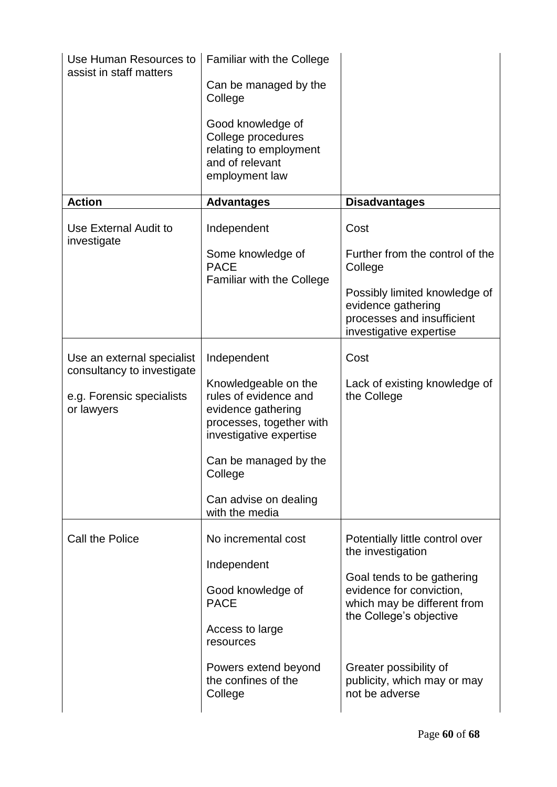| Use Human Resources to<br>assist in staff matters        | <b>Familiar with the College</b>                                                                                           |                                                                                                              |
|----------------------------------------------------------|----------------------------------------------------------------------------------------------------------------------------|--------------------------------------------------------------------------------------------------------------|
|                                                          | Can be managed by the<br>College                                                                                           |                                                                                                              |
|                                                          | Good knowledge of<br>College procedures<br>relating to employment<br>and of relevant<br>employment law                     |                                                                                                              |
| <b>Action</b>                                            | <b>Advantages</b>                                                                                                          | <b>Disadvantages</b>                                                                                         |
| Use External Audit to<br>investigate                     | Independent                                                                                                                | Cost                                                                                                         |
|                                                          | Some knowledge of<br><b>PACE</b>                                                                                           | Further from the control of the<br>College                                                                   |
|                                                          | <b>Familiar with the College</b>                                                                                           | Possibly limited knowledge of<br>evidence gathering<br>processes and insufficient<br>investigative expertise |
| Use an external specialist<br>consultancy to investigate | Independent                                                                                                                | Cost                                                                                                         |
| e.g. Forensic specialists<br>or lawyers                  | Knowledgeable on the<br>rules of evidence and<br>evidence gathering<br>processes, together with<br>investigative expertise | Lack of existing knowledge of<br>the College                                                                 |
|                                                          | Can be managed by the<br>College                                                                                           |                                                                                                              |
|                                                          | Can advise on dealing<br>with the media                                                                                    |                                                                                                              |
| Call the Police                                          | No incremental cost                                                                                                        | Potentially little control over<br>the investigation                                                         |
|                                                          | Independent                                                                                                                | Goal tends to be gathering                                                                                   |
|                                                          | Good knowledge of<br><b>PACE</b>                                                                                           | evidence for conviction,<br>which may be different from<br>the College's objective                           |
|                                                          | Access to large<br>resources                                                                                               |                                                                                                              |
|                                                          | Powers extend beyond<br>the confines of the<br>College                                                                     | Greater possibility of<br>publicity, which may or may<br>not be adverse                                      |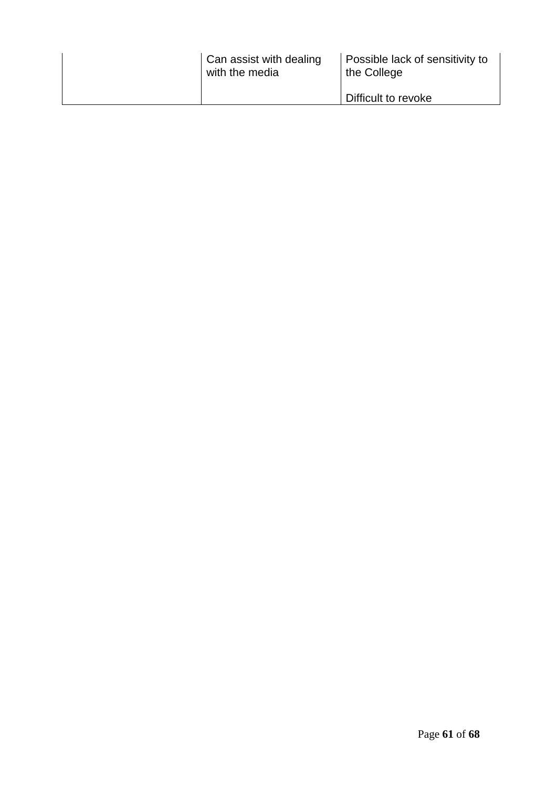| Can assist with dealing<br>with the media | Possible lack of sensitivity to<br>the College |
|-------------------------------------------|------------------------------------------------|
|                                           | Difficult to revoke                            |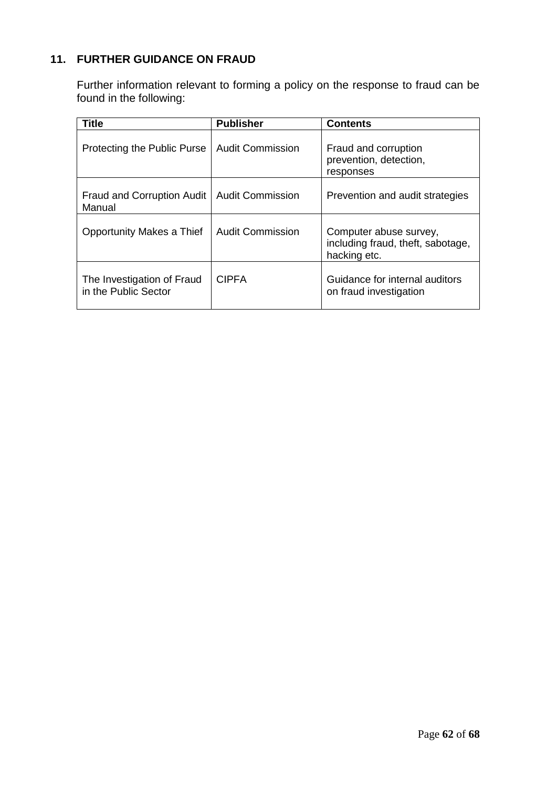# <span id="page-61-0"></span>**11. FURTHER GUIDANCE ON FRAUD**

Further information relevant to forming a policy on the response to fraud can be found in the following:

| <b>Title</b>                                       | <b>Publisher</b>        | <b>Contents</b>                                                             |
|----------------------------------------------------|-------------------------|-----------------------------------------------------------------------------|
| Protecting the Public Purse                        | <b>Audit Commission</b> | Fraud and corruption<br>prevention, detection,<br>responses                 |
| Fraud and Corruption Audit<br>Manual               | <b>Audit Commission</b> | Prevention and audit strategies                                             |
| Opportunity Makes a Thief                          | <b>Audit Commission</b> | Computer abuse survey,<br>including fraud, theft, sabotage,<br>hacking etc. |
| The Investigation of Fraud<br>in the Public Sector | <b>CIPFA</b>            | Guidance for internal auditors<br>on fraud investigation                    |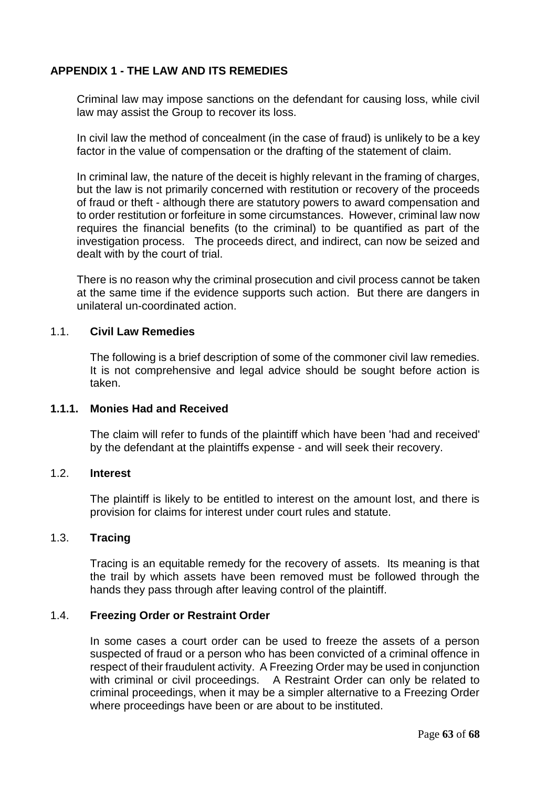# <span id="page-62-0"></span>**APPENDIX 1 - THE LAW AND ITS REMEDIES**

Criminal law may impose sanctions on the defendant for causing loss, while civil law may assist the Group to recover its loss.

In civil law the method of concealment (in the case of fraud) is unlikely to be a key factor in the value of compensation or the drafting of the statement of claim.

In criminal law, the nature of the deceit is highly relevant in the framing of charges, but the law is not primarily concerned with restitution or recovery of the proceeds of fraud or theft - although there are statutory powers to award compensation and to order restitution or forfeiture in some circumstances. However, criminal law now requires the financial benefits (to the criminal) to be quantified as part of the investigation process. The proceeds direct, and indirect, can now be seized and dealt with by the court of trial.

There is no reason why the criminal prosecution and civil process cannot be taken at the same time if the evidence supports such action. But there are dangers in unilateral un-coordinated action.

### 1.1. **Civil Law Remedies**

The following is a brief description of some of the commoner civil law remedies. It is not comprehensive and legal advice should be sought before action is taken.

#### **1.1.1. Monies Had and Received**

The claim will refer to funds of the plaintiff which have been 'had and received' by the defendant at the plaintiffs expense - and will seek their recovery.

#### 1.2. **Interest**

The plaintiff is likely to be entitled to interest on the amount lost, and there is provision for claims for interest under court rules and statute.

### 1.3. **Tracing**

Tracing is an equitable remedy for the recovery of assets. Its meaning is that the trail by which assets have been removed must be followed through the hands they pass through after leaving control of the plaintiff.

# 1.4. **Freezing Order or Restraint Order**

In some cases a court order can be used to freeze the assets of a person suspected of fraud or a person who has been convicted of a criminal offence in respect of their fraudulent activity. A Freezing Order may be used in conjunction with criminal or civil proceedings. A Restraint Order can only be related to criminal proceedings, when it may be a simpler alternative to a Freezing Order where proceedings have been or are about to be instituted.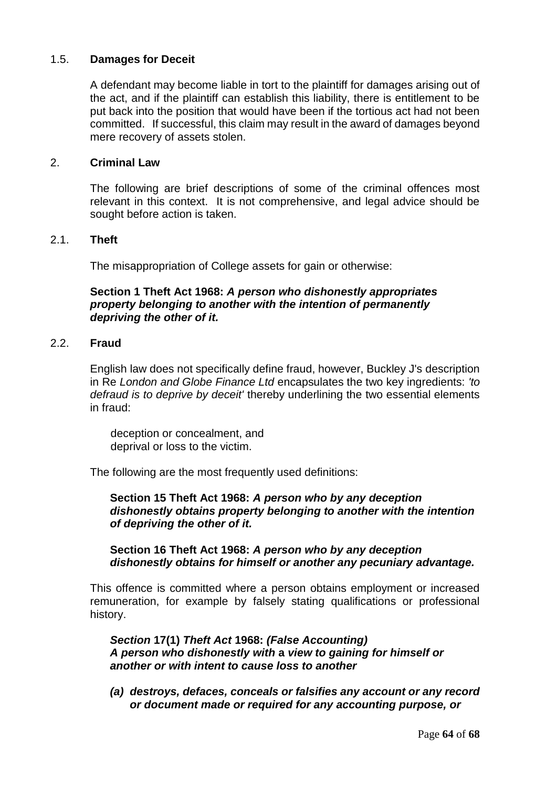# 1.5. **Damages for Deceit**

A defendant may become liable in tort to the plaintiff for damages arising out of the act, and if the plaintiff can establish this liability, there is entitlement to be put back into the position that would have been if the tortious act had not been committed. If successful, this claim may result in the award of damages beyond mere recovery of assets stolen.

# 2. **Criminal Law**

The following are brief descriptions of some of the criminal offences most relevant in this context. It is not comprehensive, and legal advice should be sought before action is taken.

### 2.1. **Theft**

The misappropriation of College assets for gain or otherwise:

# **Section 1 Theft Act 1968:** *A person who dishonestly appropriates property belonging to another with the intention of permanently depriving the other of it.*

# 2.2. **Fraud**

English law does not specifically define fraud, however, Buckley J's description in Re *London and Globe Finance Ltd* encapsulates the two key ingredients: *'to defraud is to deprive by deceit'* thereby underlining the two essential elements in fraud:

deception or concealment, and deprival or loss to the victim.

The following are the most frequently used definitions:

### **Section 15 Theft Act 1968:** *A person who by any deception dishonestly obtains property belonging to another with the intention of depriving the other of it.*

### **Section 16 Theft Act 1968:** *A person who by any deception dishonestly obtains for himself or another any pecuniary advantage.*

This offence is committed where a person obtains employment or increased remuneration, for example by falsely stating qualifications or professional history.

*Section* **17(1)** *Theft Act* **1968:** *(False Accounting) A person who dishonestly with* **a** *view to gaining for himself or another or with intent to cause loss to another* 

*(a) destroys, defaces, conceals or falsifies any account or any record or document made or required for any accounting purpose, or*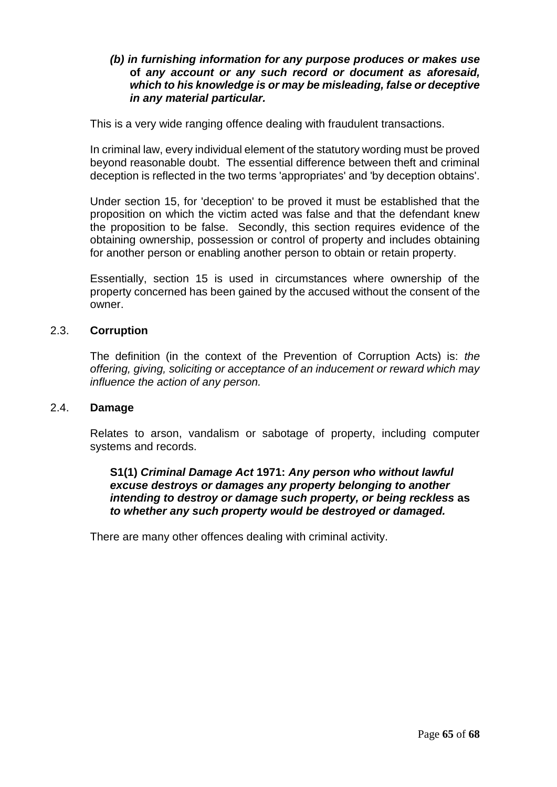# *(b) in furnishing information for any purpose produces or makes use*  **of** *any account or any such record or document as aforesaid, which to his knowledge is or may be misleading, false or deceptive in any material particular.*

This is a very wide ranging offence dealing with fraudulent transactions.

In criminal law, every individual element of the statutory wording must be proved beyond reasonable doubt. The essential difference between theft and criminal deception is reflected in the two terms 'appropriates' and 'by deception obtains'.

Under section 15, for 'deception' to be proved it must be established that the proposition on which the victim acted was false and that the defendant knew the proposition to be false. Secondly, this section requires evidence of the obtaining ownership, possession or control of property and includes obtaining for another person or enabling another person to obtain or retain property.

Essentially, section 15 is used in circumstances where ownership of the property concerned has been gained by the accused without the consent of the owner.

### 2.3. **Corruption**

The definition (in the context of the Prevention of Corruption Acts) is: *the offering, giving, soliciting or acceptance of an inducement or reward which may influence the action of any person.* 

### 2.4. **Damage**

Relates to arson, vandalism or sabotage of property, including computer systems and records.

**S1(1)** *Criminal Damage Act* **1971:** *Any person who without lawful excuse destroys or damages any property belonging to another intending to destroy or damage such property, or being reckless* **as**  *to whether any such property would be destroyed or damaged.* 

There are many other offences dealing with criminal activity.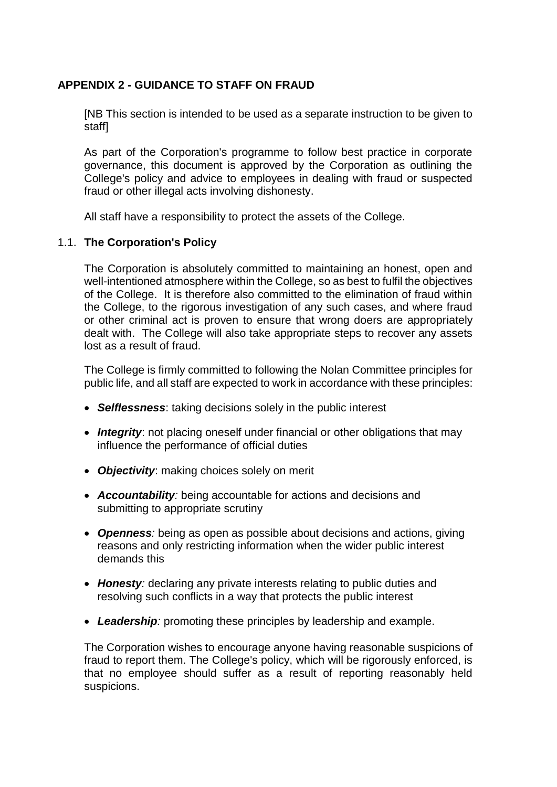# <span id="page-65-0"></span>**APPENDIX 2 - GUIDANCE TO STAFF ON FRAUD**

[NB This section is intended to be used as a separate instruction to be given to staff]

As part of the Corporation's programme to follow best practice in corporate governance, this document is approved by the Corporation as outlining the College's policy and advice to employees in dealing with fraud or suspected fraud or other illegal acts involving dishonesty.

All staff have a responsibility to protect the assets of the College.

# 1.1. **The Corporation's Policy**

The Corporation is absolutely committed to maintaining an honest, open and well-intentioned atmosphere within the College, so as best to fulfil the objectives of the College. It is therefore also committed to the elimination of fraud within the College, to the rigorous investigation of any such cases, and where fraud or other criminal act is proven to ensure that wrong doers are appropriately dealt with. The College will also take appropriate steps to recover any assets lost as a result of fraud.

The College is firmly committed to following the Nolan Committee principles for public life, and all staff are expected to work in accordance with these principles:

- *Selflessness*: taking decisions solely in the public interest
- **Integrity**: not placing oneself under financial or other obligations that may influence the performance of official duties
- *Objectivity*: making choices solely on merit
- *Accountability:* being accountable for actions and decisions and submitting to appropriate scrutiny
- *Openness:* being as open as possible about decisions and actions, giving reasons and only restricting information when the wider public interest demands this
- *Honesty:* declaring any private interests relating to public duties and resolving such conflicts in a way that protects the public interest
- *Leadership:* promoting these principles by leadership and example.

The Corporation wishes to encourage anyone having reasonable suspicions of fraud to report them. The College's policy, which will be rigorously enforced, is that no employee should suffer as a result of reporting reasonably held suspicions.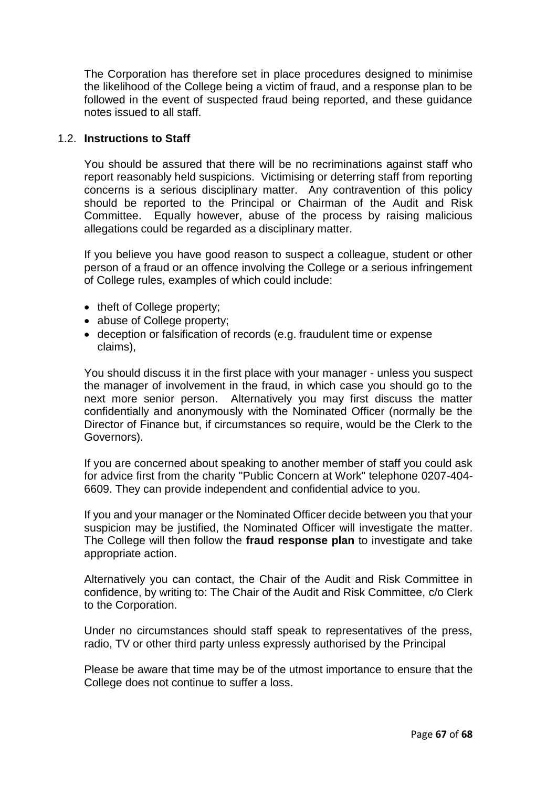The Corporation has therefore set in place procedures designed to minimise the likelihood of the College being a victim of fraud, and a response plan to be followed in the event of suspected fraud being reported, and these guidance notes issued to all staff.

# 1.2. **Instructions to Staff**

You should be assured that there will be no recriminations against staff who report reasonably held suspicions. Victimising or deterring staff from reporting concerns is a serious disciplinary matter. Any contravention of this policy should be reported to the Principal or Chairman of the Audit and Risk Committee. Equally however, abuse of the process by raising malicious allegations could be regarded as a disciplinary matter.

If you believe you have good reason to suspect a colleague, student or other person of a fraud or an offence involving the College or a serious infringement of College rules, examples of which could include:

- theft of College property;
- abuse of College property;
- deception or falsification of records (e.g. fraudulent time or expense claims),

You should discuss it in the first place with your manager - unless you suspect the manager of involvement in the fraud, in which case you should go to the next more senior person. Alternatively you may first discuss the matter confidentially and anonymously with the Nominated Officer (normally be the Director of Finance but, if circumstances so require, would be the Clerk to the Governors).

If you are concerned about speaking to another member of staff you could ask for advice first from the charity "Public Concern at Work" telephone 0207-404- 6609. They can provide independent and confidential advice to you.

If you and your manager or the Nominated Officer decide between you that your suspicion may be justified, the Nominated Officer will investigate the matter. The College will then follow the **fraud response plan** to investigate and take appropriate action.

Alternatively you can contact, the Chair of the Audit and Risk Committee in confidence, by writing to: The Chair of the Audit and Risk Committee, c/o Clerk to the Corporation.

Under no circumstances should staff speak to representatives of the press, radio, TV or other third party unless expressly authorised by the Principal

Please be aware that time may be of the utmost importance to ensure that the College does not continue to suffer a loss.